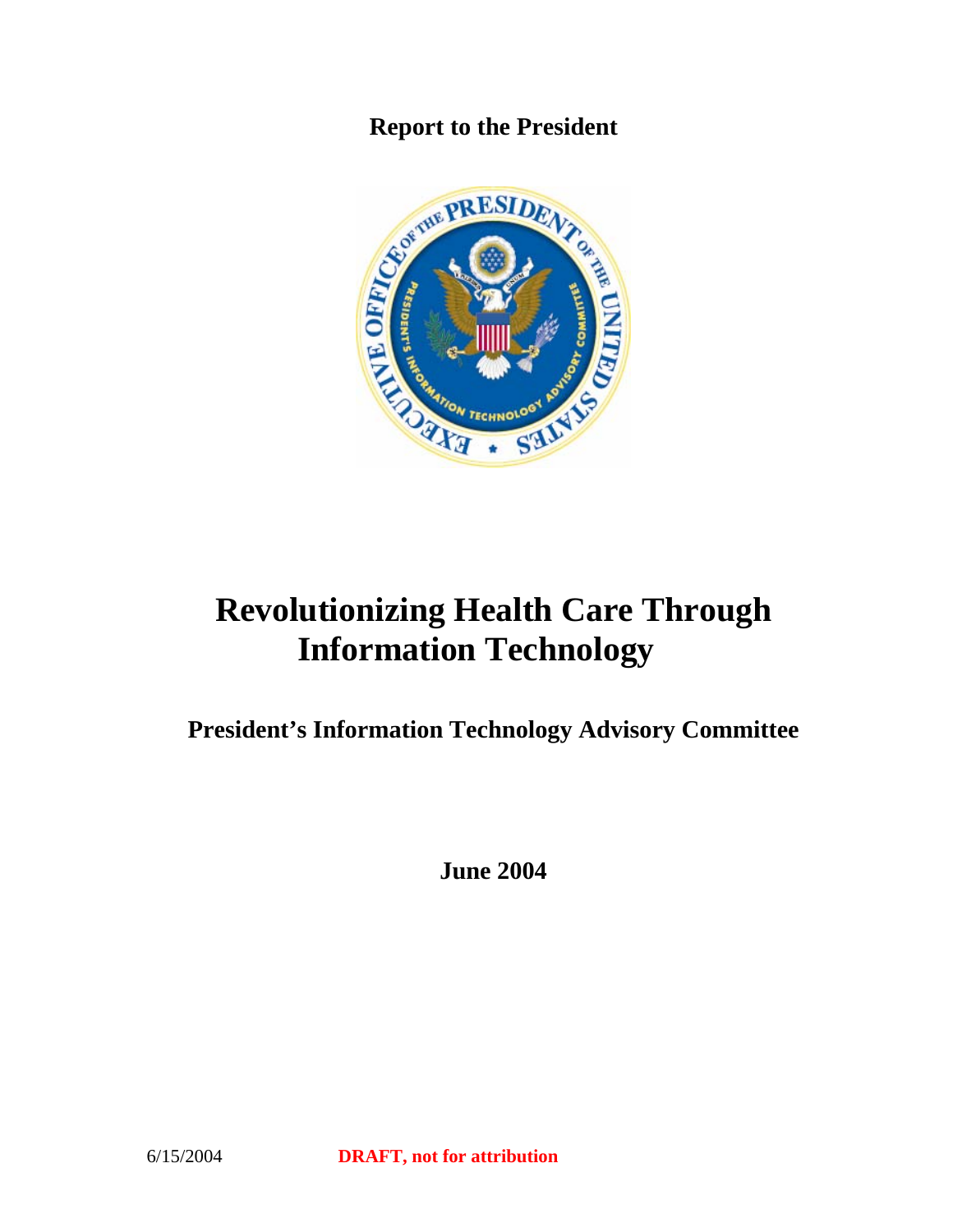

# **Revolutionizing Health Care Through Information Technology**

**President's Information Technology Advisory Committee** 

**June 2004**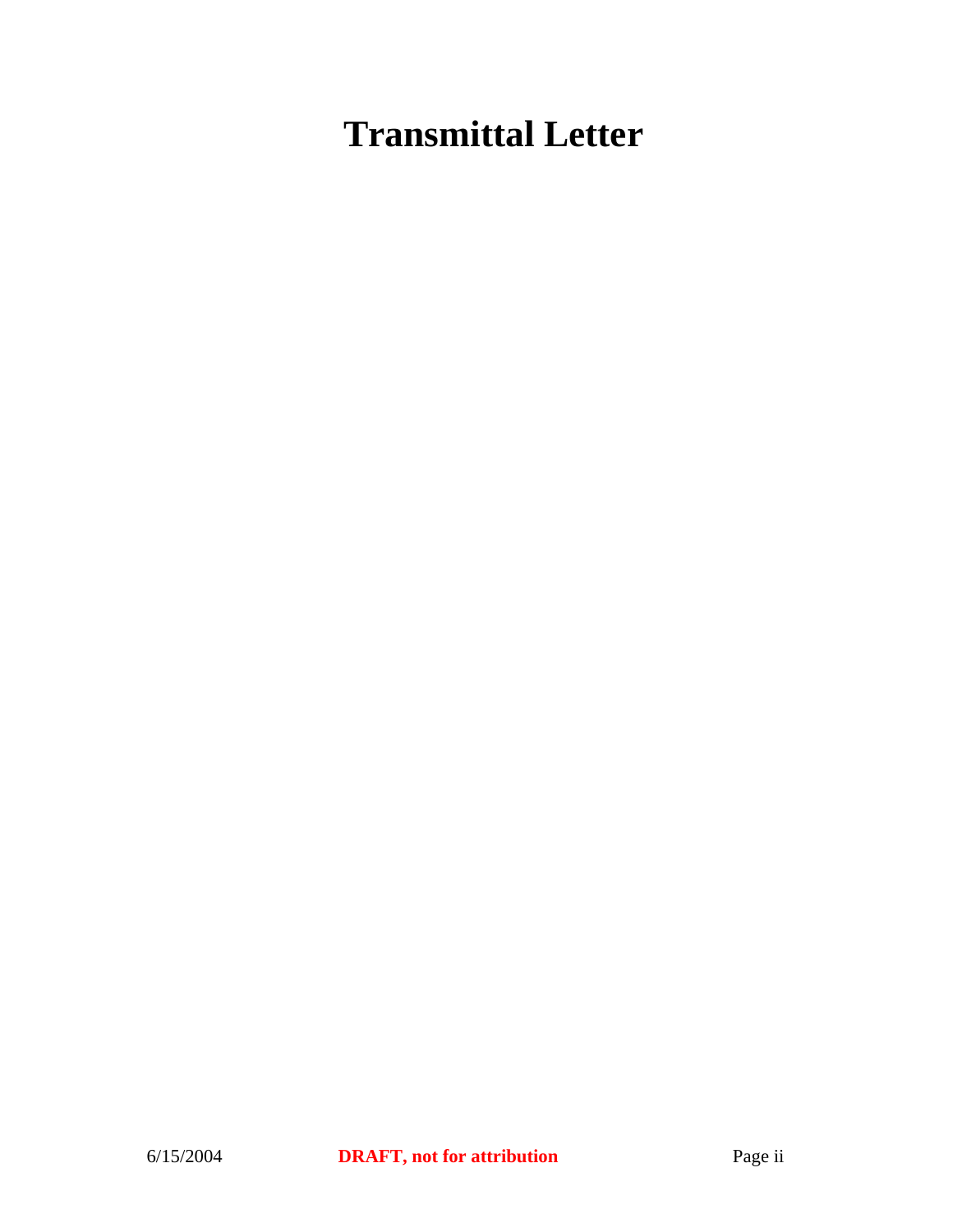# **Transmittal Letter**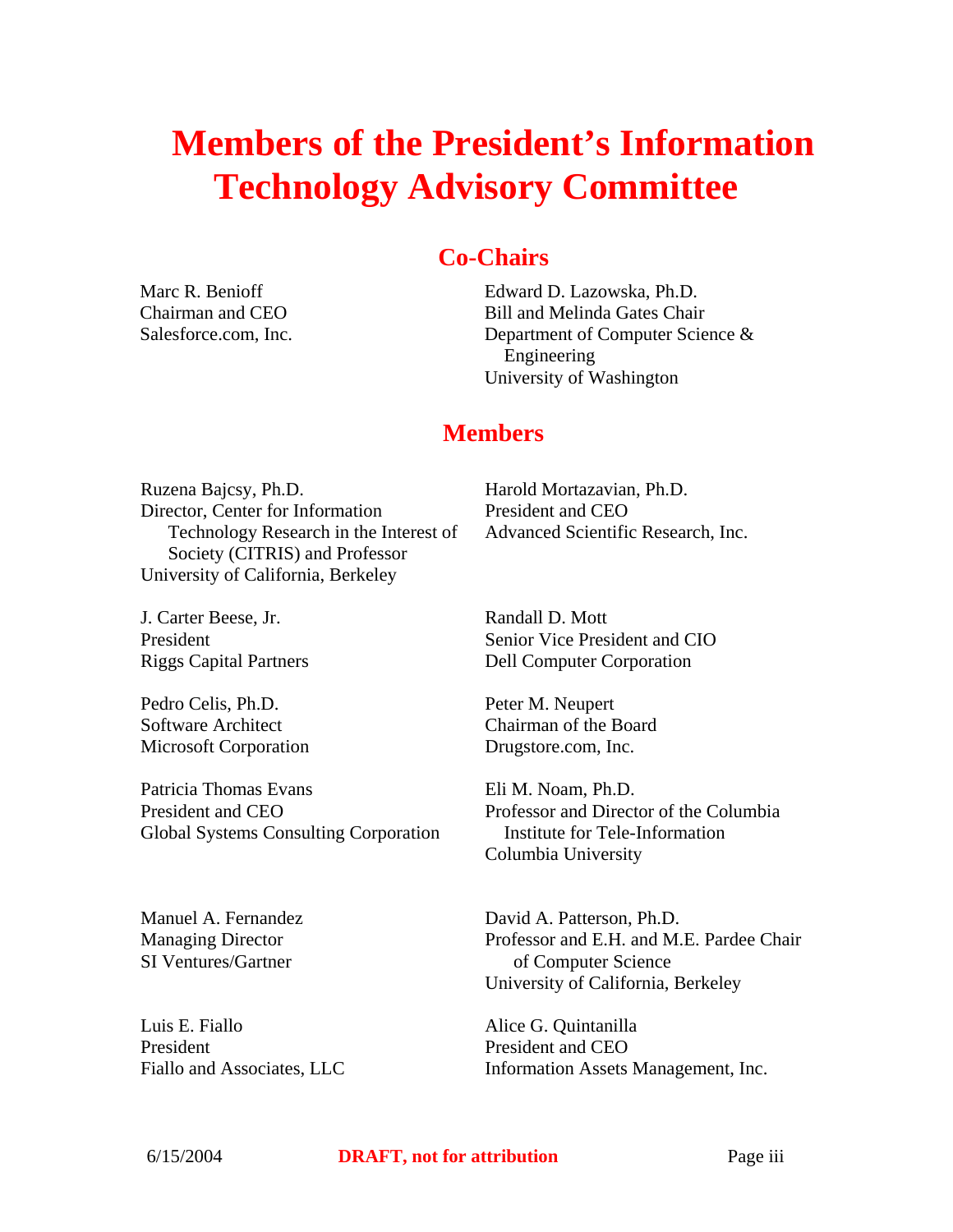# **Members of the President's Information Technology Advisory Committee**

# **Co-Chairs**

Marc R. Benioff Chairman and CEO Salesforce.com, Inc. Edward D. Lazowska, Ph.D. Bill and Melinda Gates Chair Department of Computer Science & Engineering University of Washington

# **Members**

Ruzena Bajcsy, Ph.D. Director, Center for Information Technology Research in the Interest of Society (CITRIS) and Professor University of California, Berkeley

Harold Mortazavian, Ph.D. President and CEO Advanced Scientific Research, Inc.

J. Carter Beese, Jr. President Riggs Capital Partners

Pedro Celis, Ph.D. Software Architect Microsoft Corporation

Patricia Thomas Evans President and CEO Global Systems Consulting Corporation

Manuel A. Fernandez Managing Director SI Ventures/Gartner

Luis E. Fiallo President Fiallo and Associates, LLC Randall D. Mott Senior Vice President and CIO Dell Computer Corporation

Peter M. Neupert Chairman of the Board Drugstore.com, Inc.

Eli M. Noam, Ph.D. Professor and Director of the Columbia Institute for Tele-Information Columbia University

David A. Patterson, Ph.D. Professor and E.H. and M.E. Pardee Chair of Computer Science University of California, Berkeley

Alice G. Quintanilla President and CEO Information Assets Management, Inc.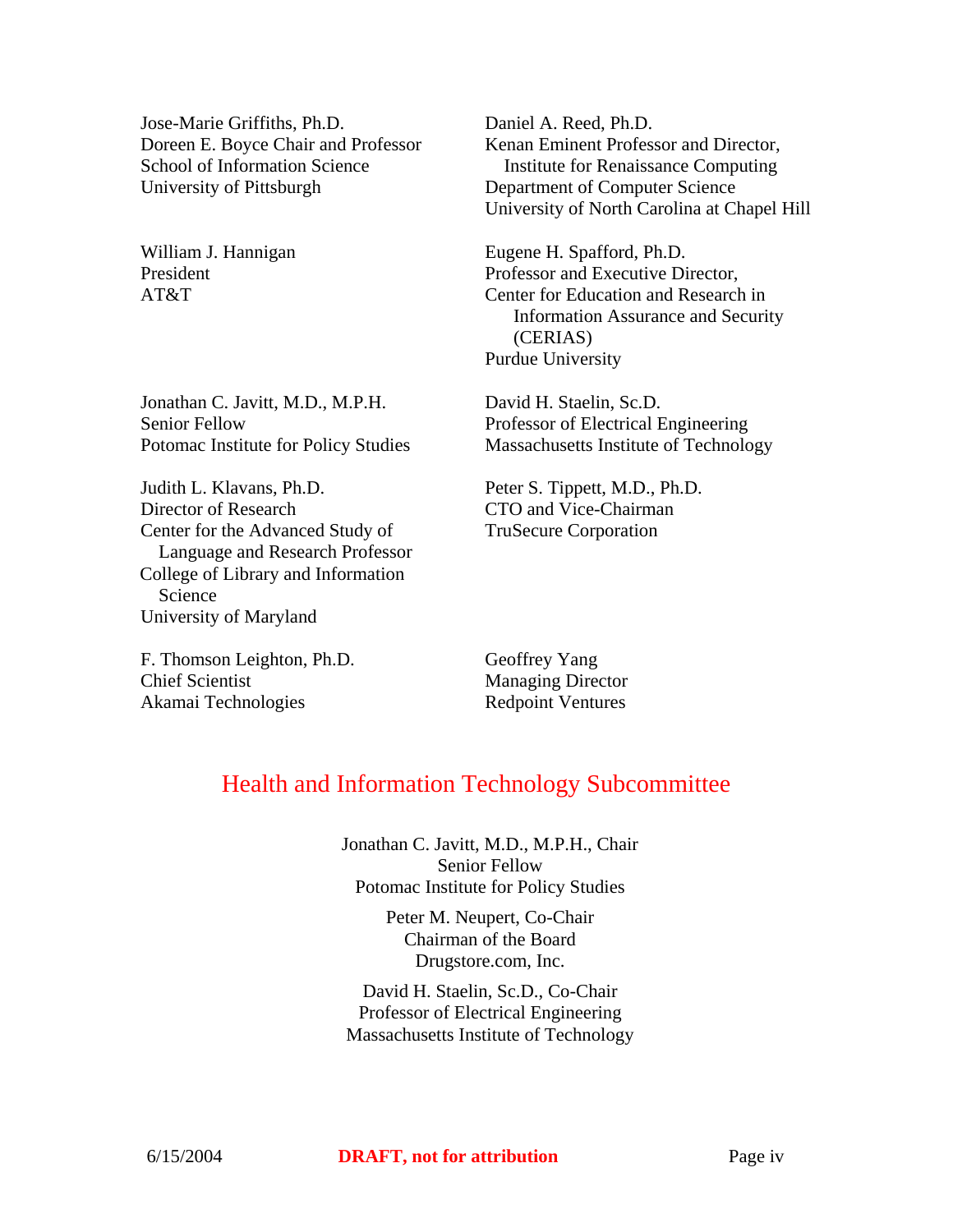Jose-Marie Griffiths, Ph.D. Doreen E. Boyce Chair and Professor School of Information Science University of Pittsburgh

William J. Hannigan President AT&T

Jonathan C. Javitt, M.D., M.P.H. Senior Fellow Potomac Institute for Policy Studies

Judith L. Klavans, Ph.D. Director of Research Center for the Advanced Study of Language and Research Professor College of Library and Information Science University of Maryland

F. Thomson Leighton, Ph.D. Chief Scientist Akamai Technologies

Daniel A. Reed, Ph.D. Kenan Eminent Professor and Director, Institute for Renaissance Computing Department of Computer Science University of North Carolina at Chapel Hill

Eugene H. Spafford, Ph.D. Professor and Executive Director, Center for Education and Research in Information Assurance and Security (CERIAS) Purdue University

David H. Staelin, Sc.D. Professor of Electrical Engineering Massachusetts Institute of Technology

Peter S. Tippett, M.D., Ph.D. CTO and Vice-Chairman TruSecure Corporation

Geoffrey Yang Managing Director Redpoint Ventures

# Health and Information Technology Subcommittee

Jonathan C. Javitt, M.D., M.P.H., Chair Senior Fellow Potomac Institute for Policy Studies

> Peter M. Neupert, Co-Chair Chairman of the Board Drugstore.com, Inc.

David H. Staelin, Sc.D., Co-Chair Professor of Electrical Engineering Massachusetts Institute of Technology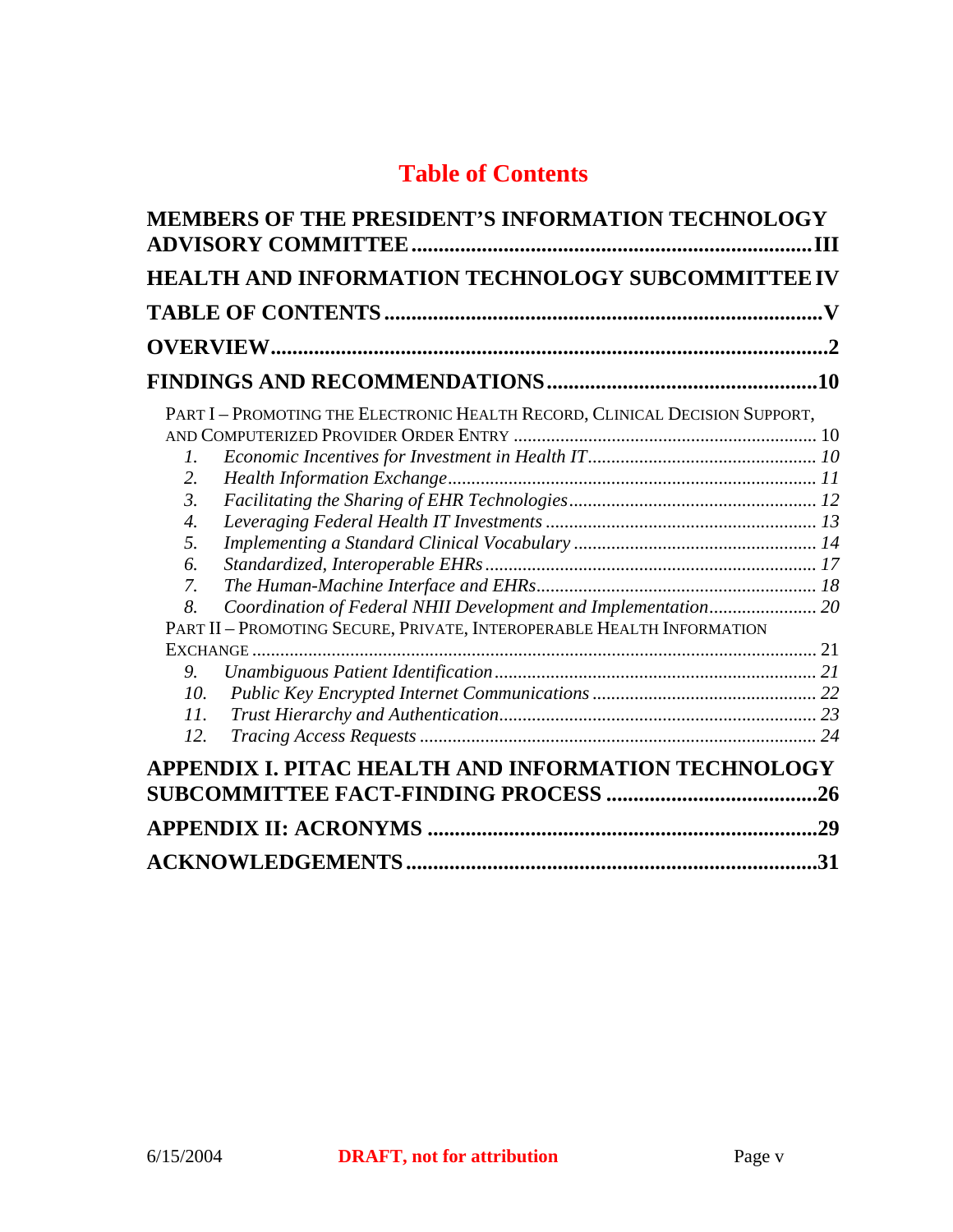# **Table of Contents**

|                                                                         | <b>HEALTH AND INFORMATION TECHNOLOGY SUBCOMMITTEE IV</b>                                                                                      |    |
|-------------------------------------------------------------------------|-----------------------------------------------------------------------------------------------------------------------------------------------|----|
|                                                                         |                                                                                                                                               |    |
|                                                                         |                                                                                                                                               |    |
| $\mathcal{I}$ .<br>2.<br>$\mathfrak{Z}$ .<br>4.<br>5.<br>6.<br>7.<br>8. | PART I - PROMOTING THE ELECTRONIC HEALTH RECORD, CLINICAL DECISION SUPPORT,<br>Coordination of Federal NHII Development and Implementation 20 |    |
|                                                                         | PART II - PROMOTING SECURE, PRIVATE, INTEROPERABLE HEALTH INFORMATION                                                                         |    |
| 9.<br>10.<br>11.<br>12.                                                 |                                                                                                                                               |    |
|                                                                         | APPENDIX I. PITAC HEALTH AND INFORMATION TECHNOLOGY                                                                                           |    |
|                                                                         |                                                                                                                                               |    |
|                                                                         |                                                                                                                                               | 31 |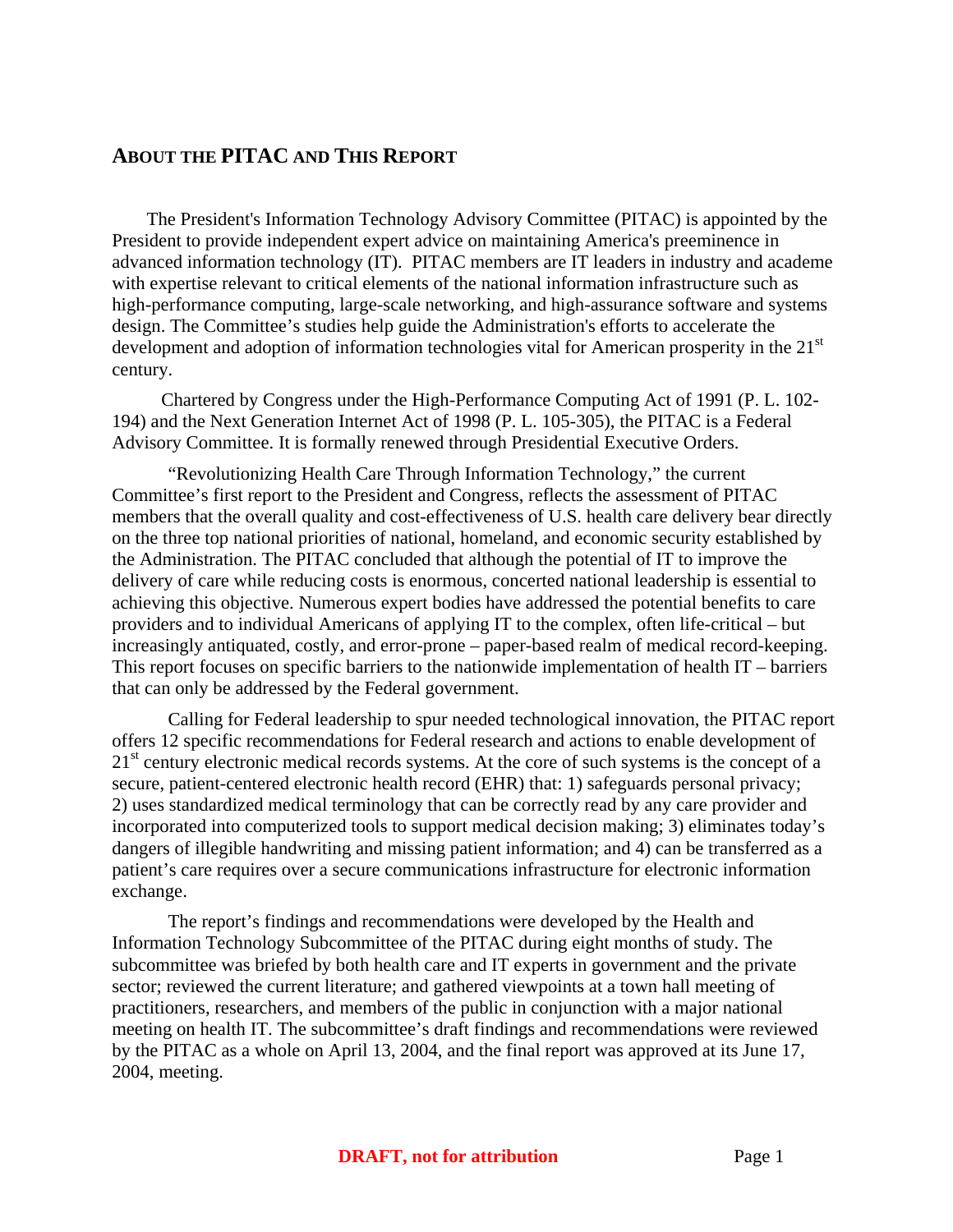# **ABOUT THE PITAC AND THIS REPORT**

The President's Information Technology Advisory Committee (PITAC) is appointed by the President to provide independent expert advice on maintaining America's preeminence in advanced information technology (IT). PITAC members are IT leaders in industry and academe with expertise relevant to critical elements of the national information infrastructure such as high-performance computing, large-scale networking, and high-assurance software and systems design. The Committee's studies help guide the Administration's efforts to accelerate the development and adoption of information technologies vital for American prosperity in the  $21<sup>st</sup>$ century.

Chartered by Congress under the High-Performance Computing Act of 1991 (P. L. 102- 194) and the Next Generation Internet Act of 1998 (P. L. 105-305), the PITAC is a Federal Advisory Committee. It is formally renewed through Presidential Executive Orders.

"Revolutionizing Health Care Through Information Technology," the current Committee's first report to the President and Congress, reflects the assessment of PITAC members that the overall quality and cost-effectiveness of U.S. health care delivery bear directly on the three top national priorities of national, homeland, and economic security established by the Administration. The PITAC concluded that although the potential of IT to improve the delivery of care while reducing costs is enormous, concerted national leadership is essential to achieving this objective. Numerous expert bodies have addressed the potential benefits to care providers and to individual Americans of applying IT to the complex, often life-critical – but increasingly antiquated, costly, and error-prone – paper-based realm of medical record-keeping. This report focuses on specific barriers to the nationwide implementation of health IT – barriers that can only be addressed by the Federal government.

Calling for Federal leadership to spur needed technological innovation, the PITAC report offers 12 specific recommendations for Federal research and actions to enable development of 21<sup>st</sup> century electronic medical records systems. At the core of such systems is the concept of a secure, patient-centered electronic health record (EHR) that: 1) safeguards personal privacy; 2) uses standardized medical terminology that can be correctly read by any care provider and incorporated into computerized tools to support medical decision making; 3) eliminates today's dangers of illegible handwriting and missing patient information; and 4) can be transferred as a patient's care requires over a secure communications infrastructure for electronic information exchange.

The report's findings and recommendations were developed by the Health and Information Technology Subcommittee of the PITAC during eight months of study. The subcommittee was briefed by both health care and IT experts in government and the private sector; reviewed the current literature; and gathered viewpoints at a town hall meeting of practitioners, researchers, and members of the public in conjunction with a major national meeting on health IT. The subcommittee's draft findings and recommendations were reviewed by the PITAC as a whole on April 13, 2004, and the final report was approved at its June 17, 2004, meeting.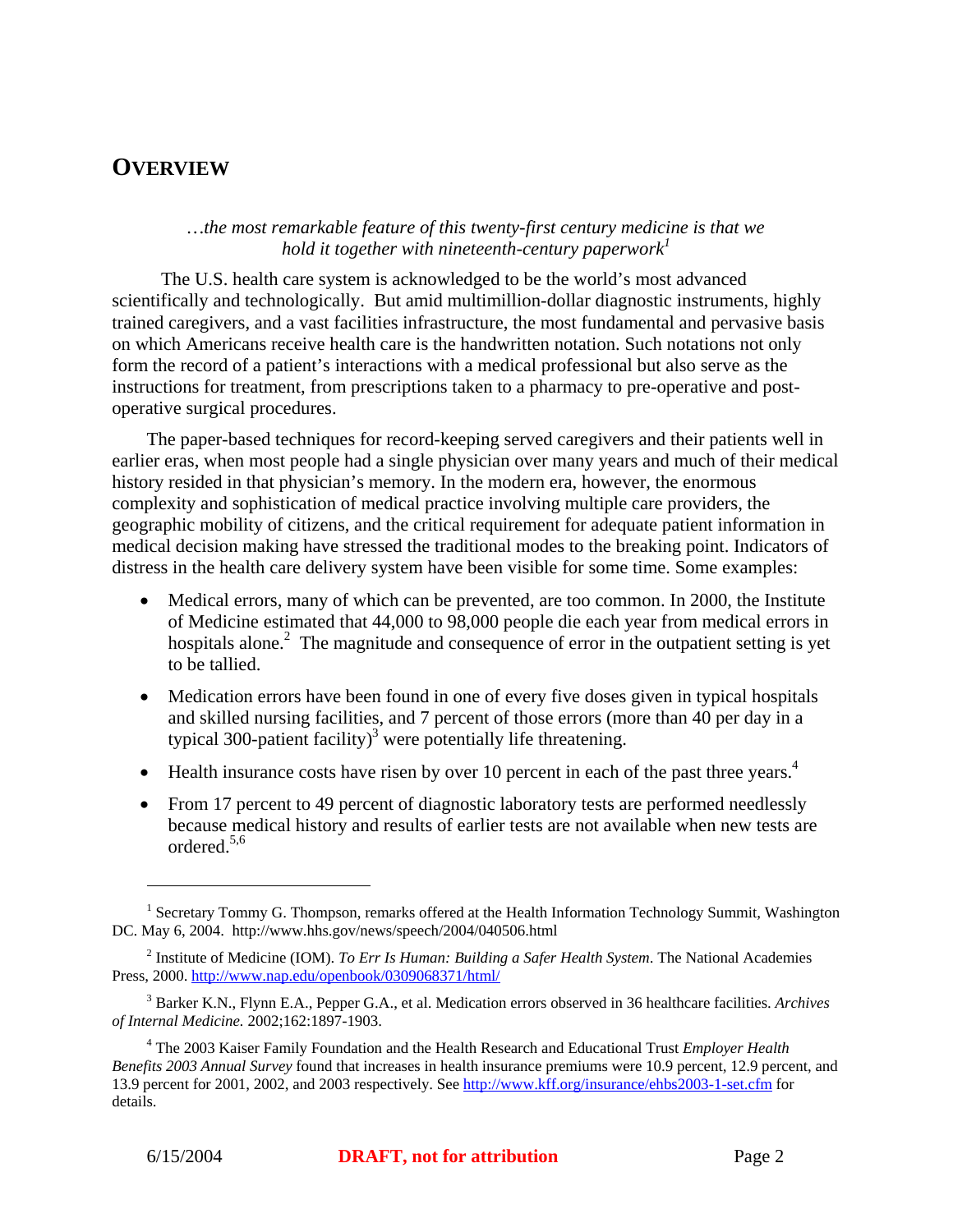# **OVERVIEW**

#### *…the most remarkable feature of this twenty-first century medicine is that we hold it together with nineteenth-century paperwork*<sup>1</sup>

 The U.S. health care system is acknowledged to be the world's most advanced scientifically and technologically. But amid multimillion-dollar diagnostic instruments, highly trained caregivers, and a vast facilities infrastructure, the most fundamental and pervasive basis on which Americans receive health care is the handwritten notation. Such notations not only form the record of a patient's interactions with a medical professional but also serve as the instructions for treatment, from prescriptions taken to a pharmacy to pre-operative and postoperative surgical procedures.

The paper-based techniques for record-keeping served caregivers and their patients well in earlier eras, when most people had a single physician over many years and much of their medical history resided in that physician's memory. In the modern era, however, the enormous complexity and sophistication of medical practice involving multiple care providers, the geographic mobility of citizens, and the critical requirement for adequate patient information in medical decision making have stressed the traditional modes to the breaking point. Indicators of distress in the health care delivery system have been visible for some time. Some examples:

- Medical errors, many of which can be prevented, are too common. In 2000, the Institute of Medicine estimated that 44,000 to 98,000 people die each year from medical errors in hospitals alone. $2$  The magnitude and consequence of error in the outpatient setting is yet to be tallied.
- Medication errors have been found in one of every five doses given in typical hospitals and skilled nursing facilities, and 7 percent of those errors (more than 40 per day in a typical 300-patient facility)<sup>3</sup> were potentially life threatening.
- Health insurance costs have risen by over 10 percent in each of the past three years. $4$
- From 17 percent to 49 percent of diagnostic laboratory tests are performed needlessly because medical history and results of earlier tests are not available when new tests are ordered.5,6

<sup>&</sup>lt;sup>1</sup> Secretary Tommy G. Thompson, remarks offered at the Health Information Technology Summit, Washington DC. May 6, 2004. http://www.hhs.gov/news/speech/2004/040506.html

<sup>2</sup> Institute of Medicine (IOM). *To Err Is Human: Building a Safer Health System*. The National Academies Press, 2000. http://www.nap.edu/openbook/0309068371/html/

<sup>3</sup> Barker K.N., Flynn E.A., Pepper G.A., et al. Medication errors observed in 36 healthcare facilities. *Archives of Internal Medicine.* 2002;162:1897-1903.

<sup>4</sup> The 2003 Kaiser Family Foundation and the Health Research and Educational Trust *Employer Health Benefits 2003 Annual Survey* found that increases in health insurance premiums were 10.9 percent, 12.9 percent, and 13.9 percent for 2001, 2002, and 2003 respectively. See http://www.kff.org/insurance/ehbs2003-1-set.cfm for details.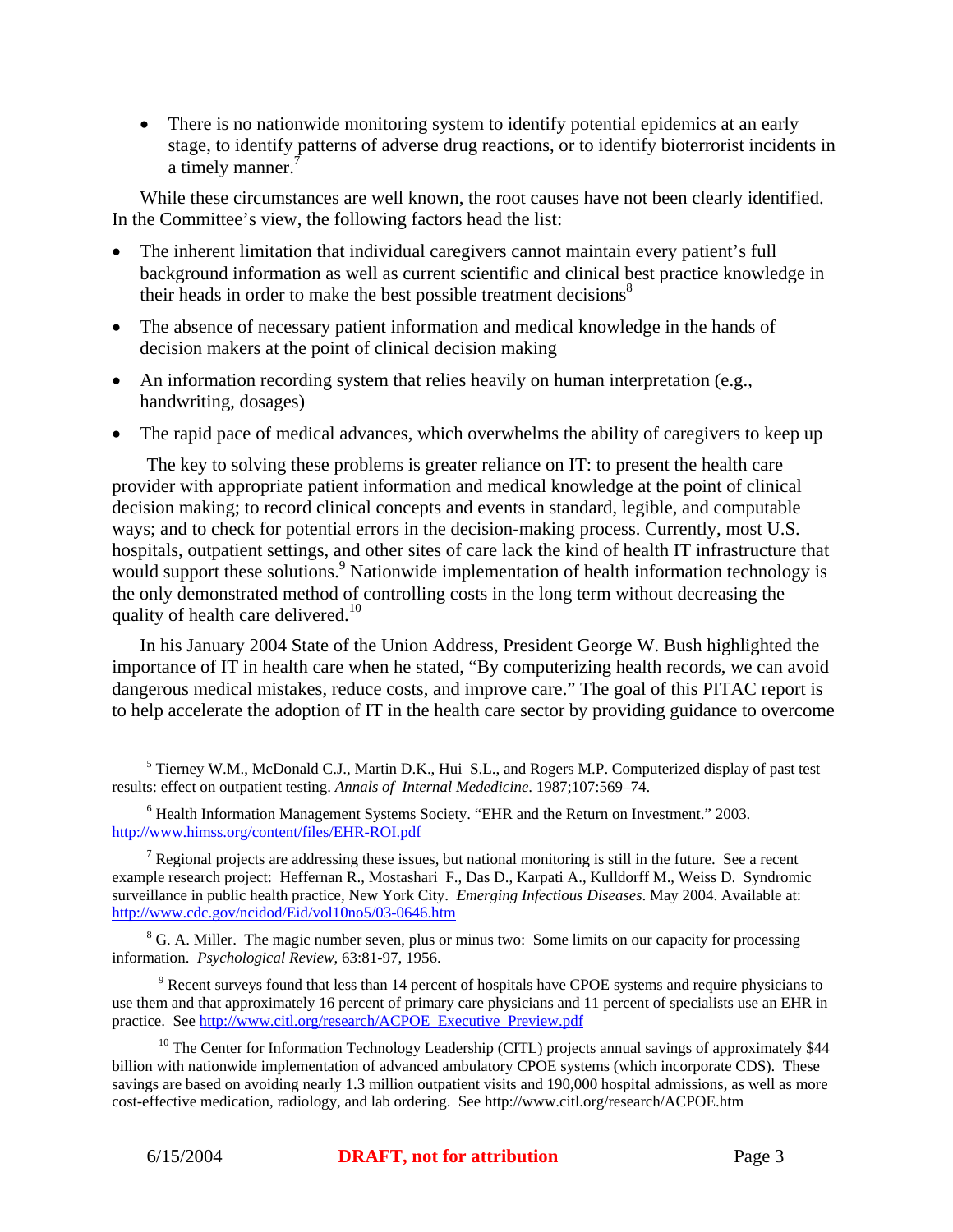There is no nationwide monitoring system to identify potential epidemics at an early stage, to identify patterns of adverse drug reactions, or to identify bioterrorist incidents in a timely manner.<sup>7</sup>

While these circumstances are well known, the root causes have not been clearly identified. In the Committee's view, the following factors head the list:

- The inherent limitation that individual caregivers cannot maintain every patient's full background information as well as current scientific and clinical best practice knowledge in their heads in order to make the best possible treatment decisions<sup>8</sup>
- The absence of necessary patient information and medical knowledge in the hands of decision makers at the point of clinical decision making
- An information recording system that relies heavily on human interpretation (e.g., handwriting, dosages)
- The rapid pace of medical advances, which overwhelms the ability of caregivers to keep up

The key to solving these problems is greater reliance on IT: to present the health care provider with appropriate patient information and medical knowledge at the point of clinical decision making; to record clinical concepts and events in standard, legible, and computable ways; and to check for potential errors in the decision-making process. Currently, most U.S. hospitals, outpatient settings, and other sites of care lack the kind of health IT infrastructure that would support these solutions.<sup>9</sup> Nationwide implementation of health information technology is the only demonstrated method of controlling costs in the long term without decreasing the quality of health care delivered.<sup>10</sup>

In his January 2004 State of the Union Address, President George W. Bush highlighted the importance of IT in health care when he stated, "By computerizing health records, we can avoid dangerous medical mistakes, reduce costs, and improve care." The goal of this PITAC report is to help accelerate the adoption of IT in the health care sector by providing guidance to overcome

<sup>7</sup> Regional projects are addressing these issues, but national monitoring is still in the future. See a recent example research project: Heffernan R., Mostashari F., Das D., Karpati A., Kulldorff M., Weiss D. Syndromic surveillance in public health practice, New York City. *Emerging Infectious Diseases*. May 2004. Available at: http://www.cdc.gov/ncidod/Eid/vol10no5/03-0646.htm

 $8$  G. A. Miller. The magic number seven, plus or minus two: Some limits on our capacity for processing information. *Psychological Review*, 63:81-97, 1956.

 $9$  Recent surveys found that less than 14 percent of hospitals have CPOE systems and require physicians to use them and that approximately 16 percent of primary care physicians and 11 percent of specialists use an EHR in practice. See http://www.citl.org/research/ACPOE\_Executive\_Preview.pdf

 $10$  The Center for Information Technology Leadership (CITL) projects annual savings of approximately \$44 billion with nationwide implementation of advanced ambulatory CPOE systems (which incorporate CDS). These savings are based on avoiding nearly 1.3 million outpatient visits and 190,000 hospital admissions, as well as more cost-effective medication, radiology, and lab ordering. See http://www.citl.org/research/ACPOE.htm

<sup>&</sup>lt;sup>5</sup> Tierney W.M., McDonald C.J., Martin D.K., Hui S.L., and Rogers M.P. Computerized display of past test results: effect on outpatient testing. *Annals of Internal Mededicine*. 1987;107:569–74.

<sup>&</sup>lt;sup>6</sup> Health Information Management Systems Society. "EHR and the Return on Investment." 2003. http://www.himss.org/content/files/EHR-ROI.pdf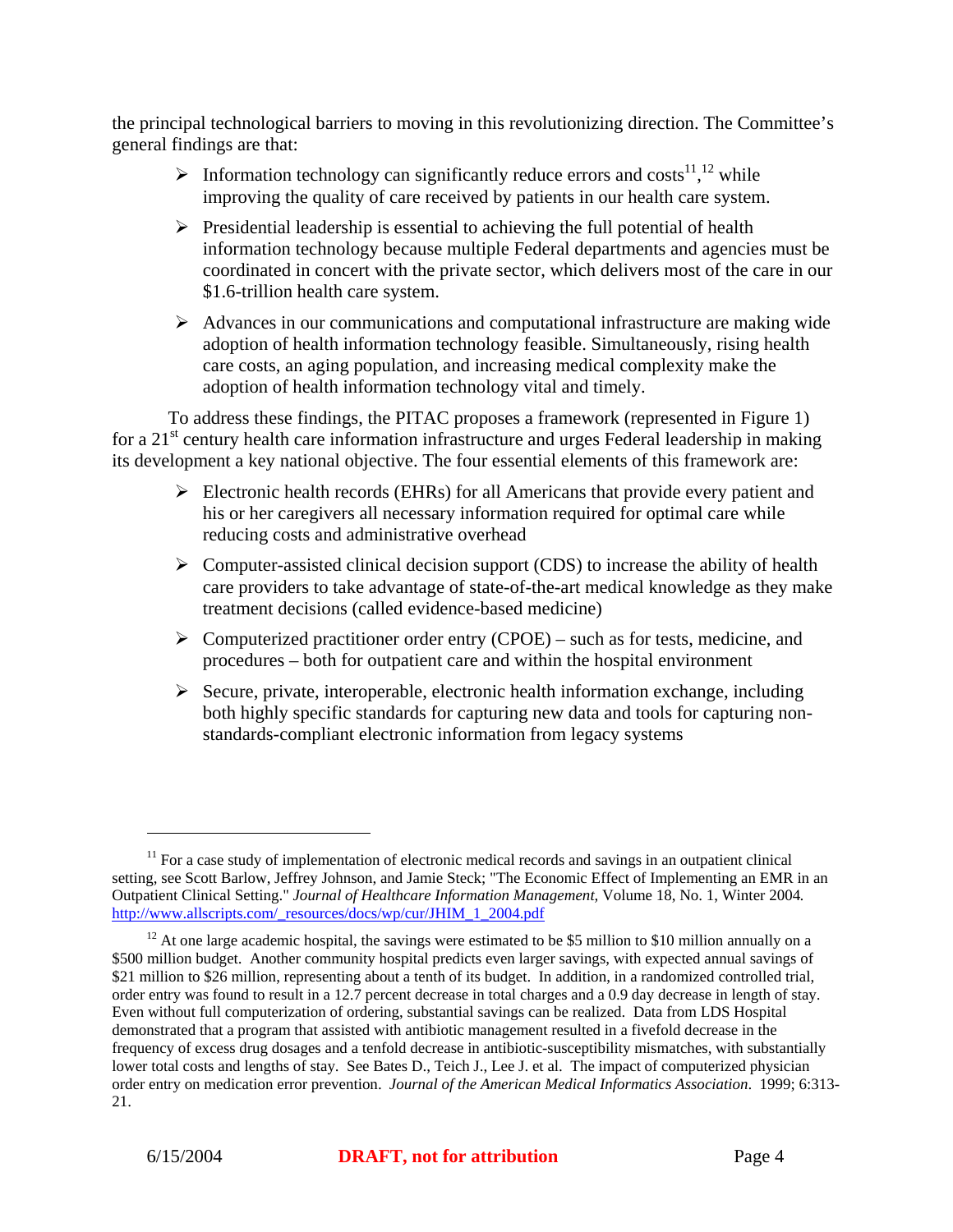the principal technological barriers to moving in this revolutionizing direction. The Committee's general findings are that:

- $\triangleright$  Information technology can significantly reduce errors and costs<sup>11</sup>,<sup>12</sup> while improving the quality of care received by patients in our health care system.
- $\triangleright$  Presidential leadership is essential to achieving the full potential of health information technology because multiple Federal departments and agencies must be coordinated in concert with the private sector, which delivers most of the care in our \$1.6-trillion health care system.
- $\triangleright$  Advances in our communications and computational infrastructure are making wide adoption of health information technology feasible. Simultaneously, rising health care costs, an aging population, and increasing medical complexity make the adoption of health information technology vital and timely.

To address these findings, the PITAC proposes a framework (represented in Figure 1) for a  $21<sup>st</sup>$  century health care information infrastructure and urges Federal leadership in making its development a key national objective. The four essential elements of this framework are:

- $\triangleright$  Electronic health records (EHRs) for all Americans that provide every patient and his or her caregivers all necessary information required for optimal care while reducing costs and administrative overhead
- $\triangleright$  Computer-assisted clinical decision support (CDS) to increase the ability of health care providers to take advantage of state-of-the-art medical knowledge as they make treatment decisions (called evidence-based medicine)
- $\triangleright$  Computerized practitioner order entry (CPOE) such as for tests, medicine, and procedures – both for outpatient care and within the hospital environment
- $\triangleright$  Secure, private, interoperable, electronic health information exchange, including both highly specific standards for capturing new data and tools for capturing nonstandards-compliant electronic information from legacy systems

 $11$  For a case study of implementation of electronic medical records and savings in an outpatient clinical setting, see Scott Barlow, Jeffrey Johnson, and Jamie Steck; "The Economic Effect of Implementing an EMR in an Outpatient Clinical Setting." *Journal of Healthcare Information Management,* Volume 18, No. 1, Winter 2004*.* http://www.allscripts.com/\_resources/docs/wp/cur/JHIM\_1\_2004.pdf

<sup>&</sup>lt;sup>12</sup> At one large academic hospital, the savings were estimated to be \$5 million to \$10 million annually on a \$500 million budget. Another community hospital predicts even larger savings, with expected annual savings of \$21 million to \$26 million, representing about a tenth of its budget. In addition, in a randomized controlled trial, order entry was found to result in a 12.7 percent decrease in total charges and a 0.9 day decrease in length of stay. Even without full computerization of ordering, substantial savings can be realized. Data from LDS Hospital demonstrated that a program that assisted with antibiotic management resulted in a fivefold decrease in the frequency of excess drug dosages and a tenfold decrease in antibiotic-susceptibility mismatches, with substantially lower total costs and lengths of stay. See Bates D., Teich J., Lee J. et al. The impact of computerized physician order entry on medication error prevention. *Journal of the American Medical Informatics Association*. 1999; 6:313- 21.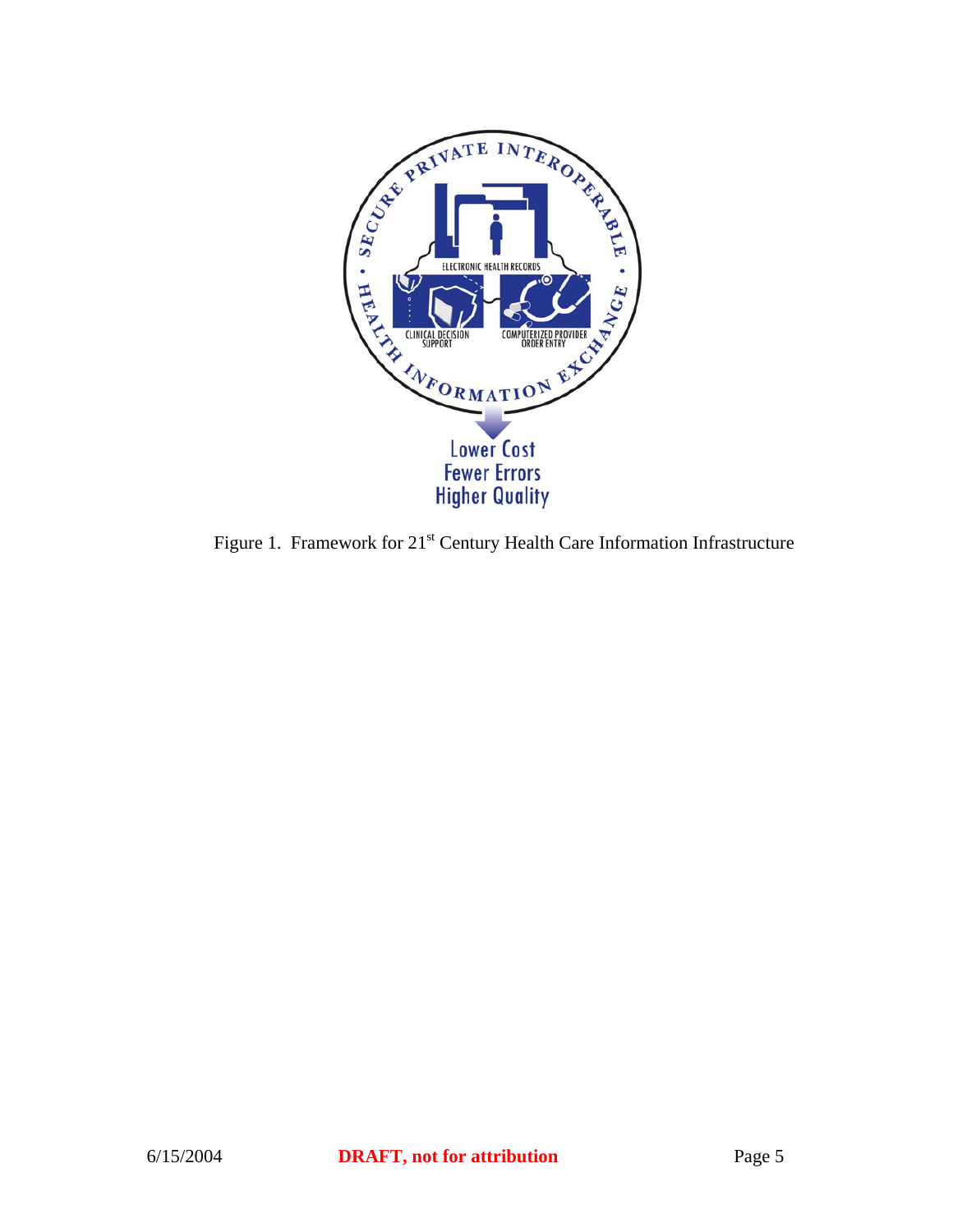

Figure 1. Framework for 21<sup>st</sup> Century Health Care Information Infrastructure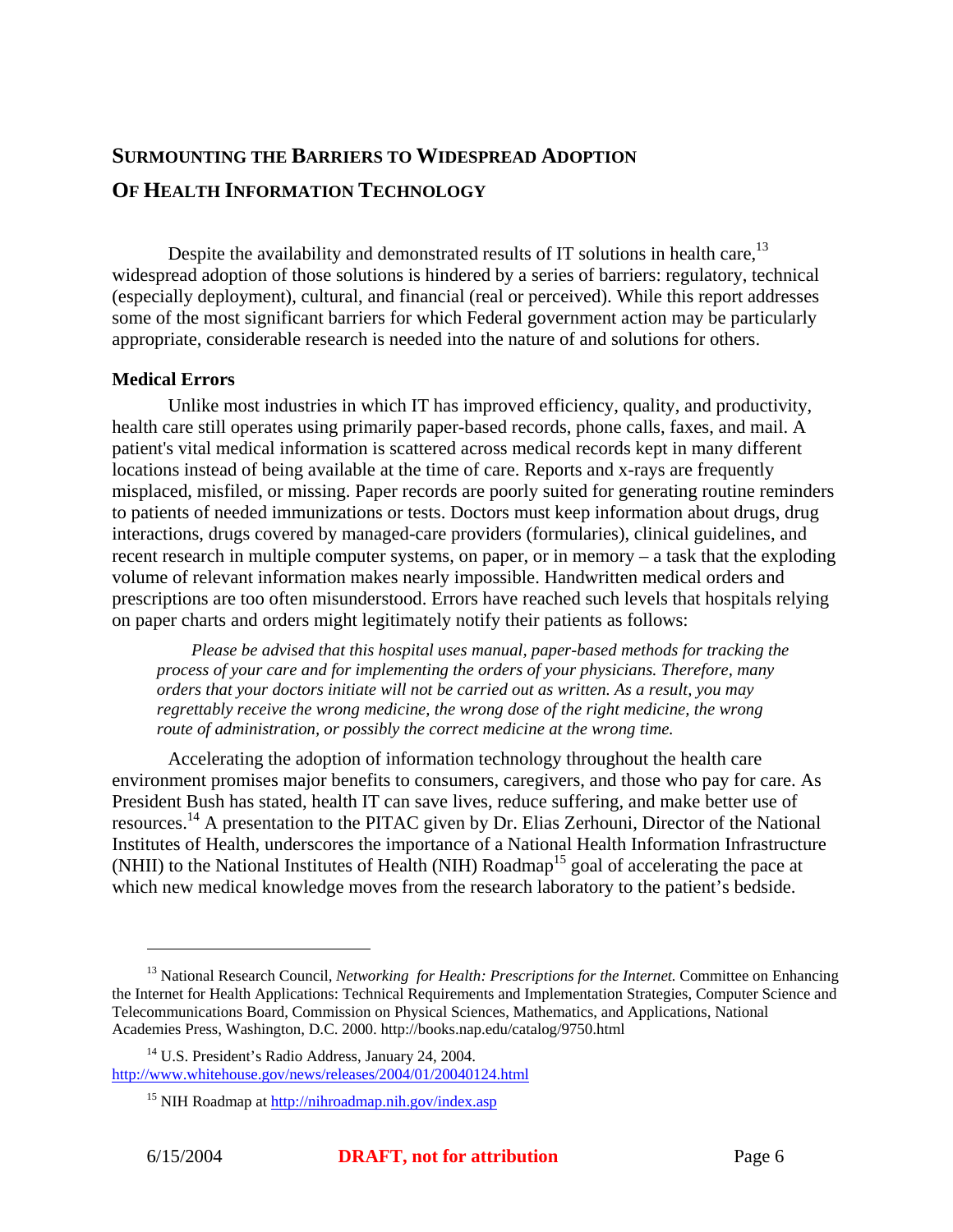# **SURMOUNTING THE BARRIERS TO WIDESPREAD ADOPTION OF HEALTH INFORMATION TECHNOLOGY**

Despite the availability and demonstrated results of IT solutions in health care.<sup>13</sup> widespread adoption of those solutions is hindered by a series of barriers: regulatory, technical (especially deployment), cultural, and financial (real or perceived). While this report addresses some of the most significant barriers for which Federal government action may be particularly appropriate, considerable research is needed into the nature of and solutions for others.

#### **Medical Errors**

Unlike most industries in which IT has improved efficiency, quality, and productivity, health care still operates using primarily paper-based records, phone calls, faxes, and mail. A patient's vital medical information is scattered across medical records kept in many different locations instead of being available at the time of care. Reports and x-rays are frequently misplaced, misfiled, or missing. Paper records are poorly suited for generating routine reminders to patients of needed immunizations or tests. Doctors must keep information about drugs, drug interactions, drugs covered by managed-care providers (formularies), clinical guidelines, and recent research in multiple computer systems, on paper, or in memory – a task that the exploding volume of relevant information makes nearly impossible. Handwritten medical orders and prescriptions are too often misunderstood. Errors have reached such levels that hospitals relying on paper charts and orders might legitimately notify their patients as follows:

*Please be advised that this hospital uses manual, paper-based methods for tracking the process of your care and for implementing the orders of your physicians. Therefore, many orders that your doctors initiate will not be carried out as written. As a result, you may regrettably receive the wrong medicine, the wrong dose of the right medicine, the wrong route of administration, or possibly the correct medicine at the wrong time.*

Accelerating the adoption of information technology throughout the health care environment promises major benefits to consumers, caregivers, and those who pay for care. As President Bush has stated, health IT can save lives, reduce suffering, and make better use of resources.<sup>14</sup> A presentation to the PITAC given by Dr. Elias Zerhouni, Director of the National Institutes of Health, underscores the importance of a National Health Information Infrastructure (NHII) to the National Institutes of Health (NIH) Roadmap<sup>15</sup> goal of accelerating the pace at which new medical knowledge moves from the research laboratory to the patient's bedside.

<u>.</u>

<sup>&</sup>lt;sup>13</sup> National Research Council, *Networking for Health: Prescriptions for the Internet*. Committee on Enhancing the Internet for Health Applications: Technical Requirements and Implementation Strategies, Computer Science and Telecommunications Board, Commission on Physical Sciences, Mathematics, and Applications, National Academies Press, Washington, D.C. 2000. http://books.nap.edu/catalog/9750.html

<sup>14</sup> U.S. President's Radio Address, January 24, 2004. http://www.whitehouse.gov/news/releases/2004/01/20040124.html

<sup>15</sup> NIH Roadmap at http://nihroadmap.nih.gov/index.asp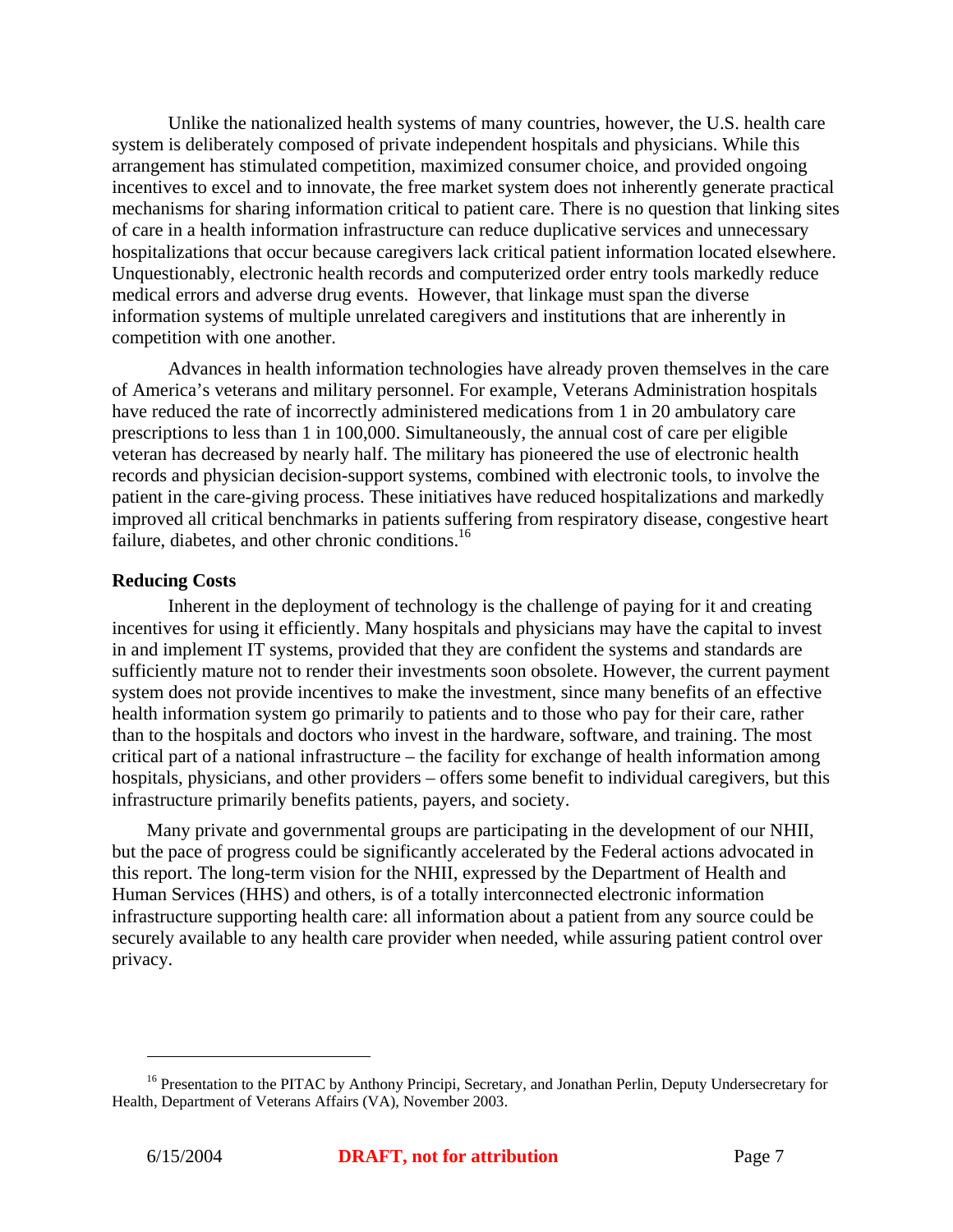Unlike the nationalized health systems of many countries, however, the U.S. health care system is deliberately composed of private independent hospitals and physicians. While this arrangement has stimulated competition, maximized consumer choice, and provided ongoing incentives to excel and to innovate, the free market system does not inherently generate practical mechanisms for sharing information critical to patient care. There is no question that linking sites of care in a health information infrastructure can reduce duplicative services and unnecessary hospitalizations that occur because caregivers lack critical patient information located elsewhere. Unquestionably, electronic health records and computerized order entry tools markedly reduce medical errors and adverse drug events. However, that linkage must span the diverse information systems of multiple unrelated caregivers and institutions that are inherently in competition with one another.

Advances in health information technologies have already proven themselves in the care of America's veterans and military personnel. For example, Veterans Administration hospitals have reduced the rate of incorrectly administered medications from 1 in 20 ambulatory care prescriptions to less than 1 in 100,000. Simultaneously, the annual cost of care per eligible veteran has decreased by nearly half. The military has pioneered the use of electronic health records and physician decision-support systems, combined with electronic tools, to involve the patient in the care-giving process. These initiatives have reduced hospitalizations and markedly improved all critical benchmarks in patients suffering from respiratory disease, congestive heart failure, diabetes, and other chronic conditions.<sup>16</sup>

#### **Reducing Costs**

Inherent in the deployment of technology is the challenge of paying for it and creating incentives for using it efficiently. Many hospitals and physicians may have the capital to invest in and implement IT systems, provided that they are confident the systems and standards are sufficiently mature not to render their investments soon obsolete. However, the current payment system does not provide incentives to make the investment, since many benefits of an effective health information system go primarily to patients and to those who pay for their care, rather than to the hospitals and doctors who invest in the hardware, software, and training. The most critical part of a national infrastructure – the facility for exchange of health information among hospitals, physicians, and other providers – offers some benefit to individual caregivers, but this infrastructure primarily benefits patients, payers, and society.

Many private and governmental groups are participating in the development of our NHII, but the pace of progress could be significantly accelerated by the Federal actions advocated in this report. The long-term vision for the NHII, expressed by the Department of Health and Human Services (HHS) and others, is of a totally interconnected electronic information infrastructure supporting health care: all information about a patient from any source could be securely available to any health care provider when needed, while assuring patient control over privacy.

<sup>&</sup>lt;sup>16</sup> Presentation to the PITAC by Anthony Principi, Secretary, and Jonathan Perlin, Deputy Undersecretary for Health, Department of Veterans Affairs (VA), November 2003.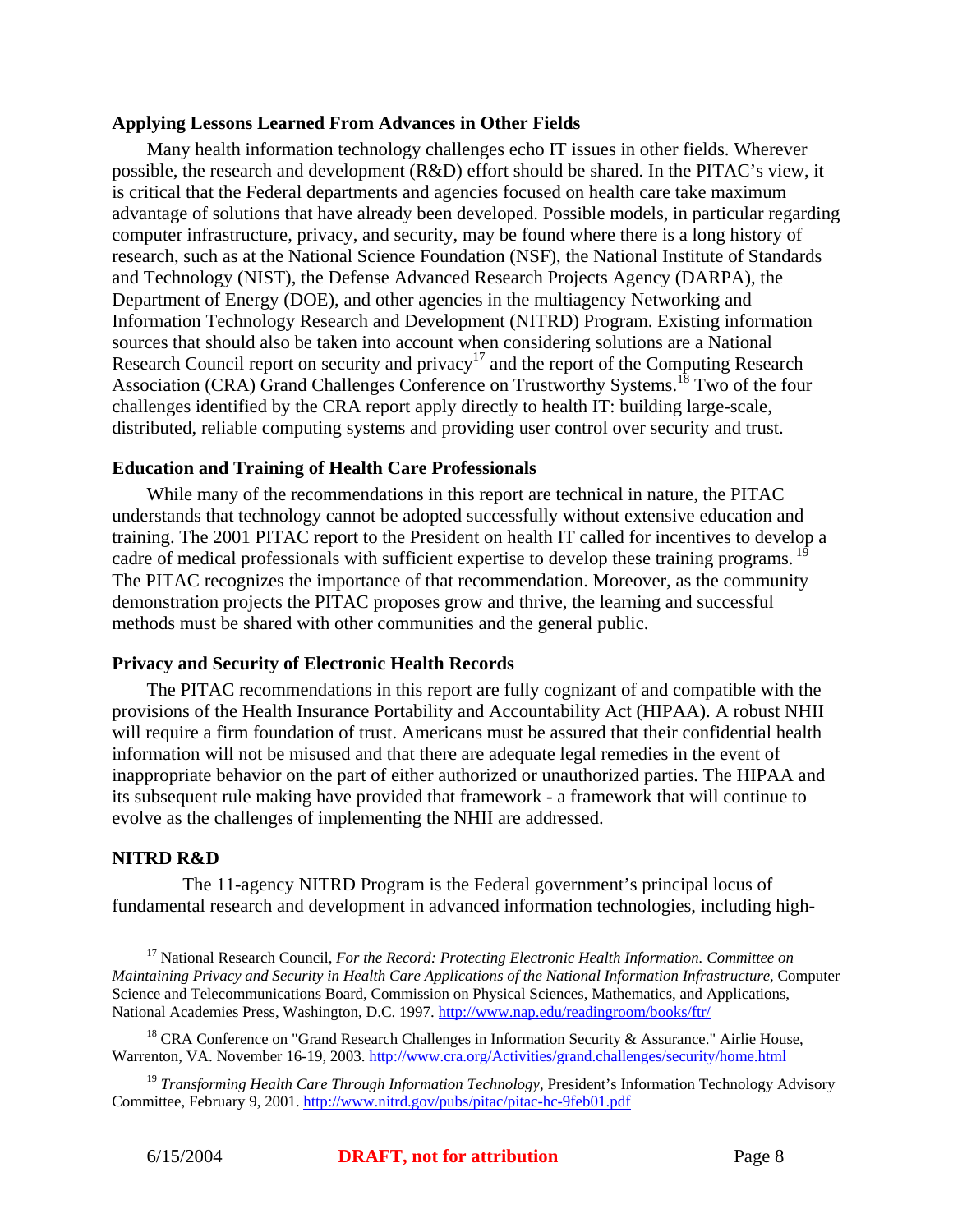#### **Applying Lessons Learned From Advances in Other Fields**

Many health information technology challenges echo IT issues in other fields. Wherever possible, the research and development (R&D) effort should be shared. In the PITAC's view, it is critical that the Federal departments and agencies focused on health care take maximum advantage of solutions that have already been developed. Possible models, in particular regarding computer infrastructure, privacy, and security, may be found where there is a long history of research, such as at the National Science Foundation (NSF), the National Institute of Standards and Technology (NIST), the Defense Advanced Research Projects Agency (DARPA), the Department of Energy (DOE), and other agencies in the multiagency Networking and Information Technology Research and Development (NITRD) Program. Existing information sources that should also be taken into account when considering solutions are a National Research Council report on security and privacy<sup>17</sup> and the report of the Computing Research Association (CRA) Grand Challenges Conference on Trustworthy Systems.<sup>18</sup> Two of the four challenges identified by the CRA report apply directly to health IT: building large-scale, distributed, reliable computing systems and providing user control over security and trust.

#### **Education and Training of Health Care Professionals**

While many of the recommendations in this report are technical in nature, the PITAC understands that technology cannot be adopted successfully without extensive education and training. The 2001 PITAC report to the President on health IT called for incentives to develop a cadre of medical professionals with sufficient expertise to develop these training programs. The PITAC recognizes the importance of that recommendation. Moreover, as the community demonstration projects the PITAC proposes grow and thrive, the learning and successful methods must be shared with other communities and the general public.

#### **Privacy and Security of Electronic Health Records**

The PITAC recommendations in this report are fully cognizant of and compatible with the provisions of the Health Insurance Portability and Accountability Act (HIPAA). A robust NHII will require a firm foundation of trust. Americans must be assured that their confidential health information will not be misused and that there are adequate legal remedies in the event of inappropriate behavior on the part of either authorized or unauthorized parties. The HIPAA and its subsequent rule making have provided that framework - a framework that will continue to evolve as the challenges of implementing the NHII are addressed.

#### **NITRD R&D**

1

 The 11-agency NITRD Program is the Federal government's principal locus of fundamental research and development in advanced information technologies, including high-

<sup>&</sup>lt;sup>17</sup> National Research Council, *For the Record: Protecting Electronic Health Information. Committee on Maintaining Privacy and Security in Health Care Applications of the National Information Infrastructure*, Computer Science and Telecommunications Board, Commission on Physical Sciences, Mathematics, and Applications, National Academies Press, Washington, D.C. 1997. http://www.nap.edu/readingroom/books/ftr/

<sup>&</sup>lt;sup>18</sup> CRA Conference on "Grand Research Challenges in Information Security & Assurance." Airlie House, Warrenton, VA. November 16-19, 2003. http://www.cra.org/Activities/grand.challenges/security/home.html

<sup>19</sup> *Transforming Health Care Through Information Technology*, President's Information Technology Advisory Committee, February 9, 2001. http://www.nitrd.gov/pubs/pitac/pitac-hc-9feb01.pdf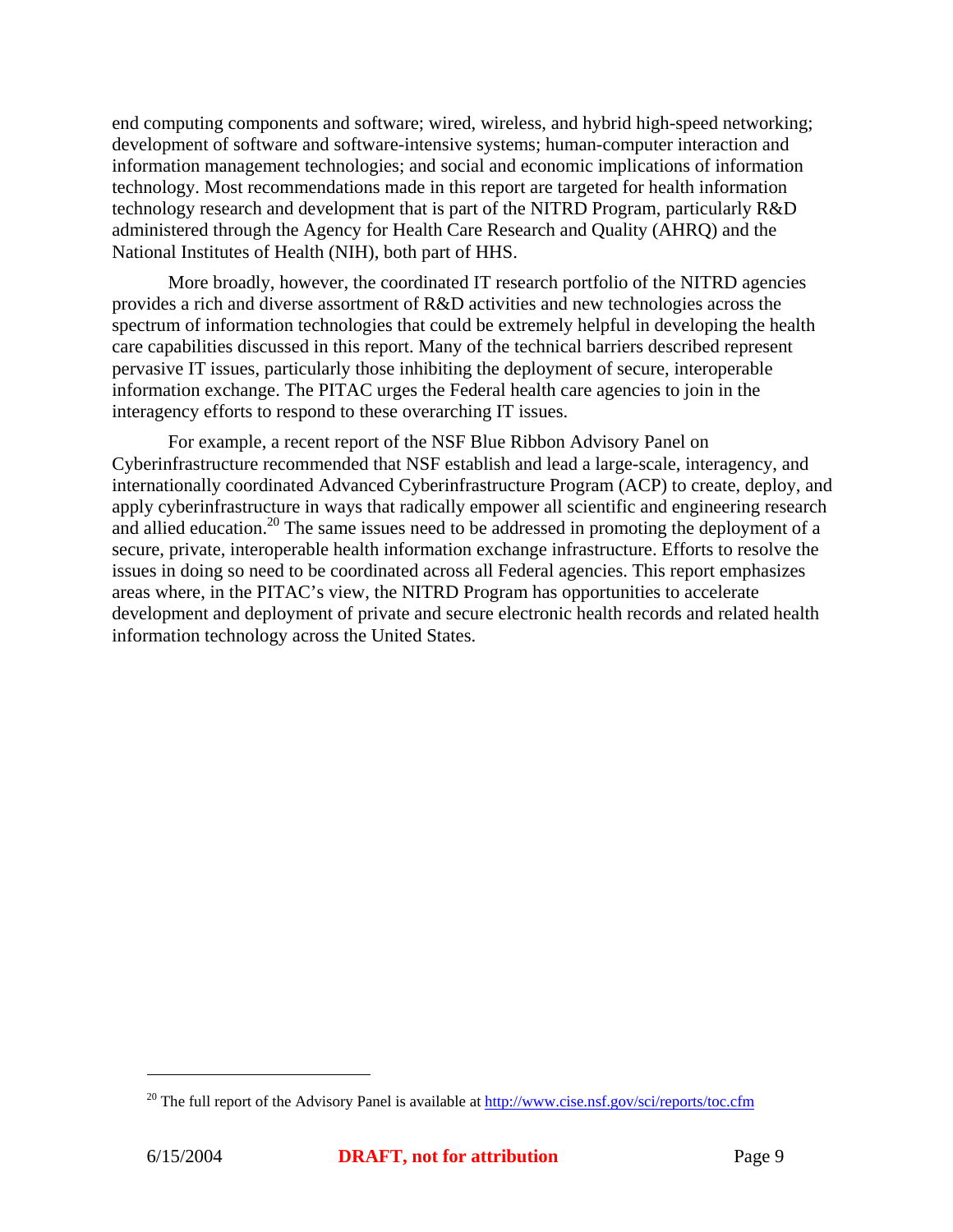end computing components and software; wired, wireless, and hybrid high-speed networking; development of software and software-intensive systems; human-computer interaction and information management technologies; and social and economic implications of information technology. Most recommendations made in this report are targeted for health information technology research and development that is part of the NITRD Program, particularly R&D administered through the Agency for Health Care Research and Quality (AHRQ) and the National Institutes of Health (NIH), both part of HHS.

More broadly, however, the coordinated IT research portfolio of the NITRD agencies provides a rich and diverse assortment of R&D activities and new technologies across the spectrum of information technologies that could be extremely helpful in developing the health care capabilities discussed in this report. Many of the technical barriers described represent pervasive IT issues, particularly those inhibiting the deployment of secure, interoperable information exchange. The PITAC urges the Federal health care agencies to join in the interagency efforts to respond to these overarching IT issues.

For example, a recent report of the NSF Blue Ribbon Advisory Panel on Cyberinfrastructure recommended that NSF establish and lead a large-scale, interagency, and internationally coordinated Advanced Cyberinfrastructure Program (ACP) to create, deploy, and apply cyberinfrastructure in ways that radically empower all scientific and engineering research and allied education.<sup>20</sup> The same issues need to be addressed in promoting the deployment of a secure, private, interoperable health information exchange infrastructure. Efforts to resolve the issues in doing so need to be coordinated across all Federal agencies. This report emphasizes areas where, in the PITAC's view, the NITRD Program has opportunities to accelerate development and deployment of private and secure electronic health records and related health information technology across the United States.

<u>.</u>

<sup>&</sup>lt;sup>20</sup> The full report of the Advisory Panel is available at http://www.cise.nsf.gov/sci/reports/toc.cfm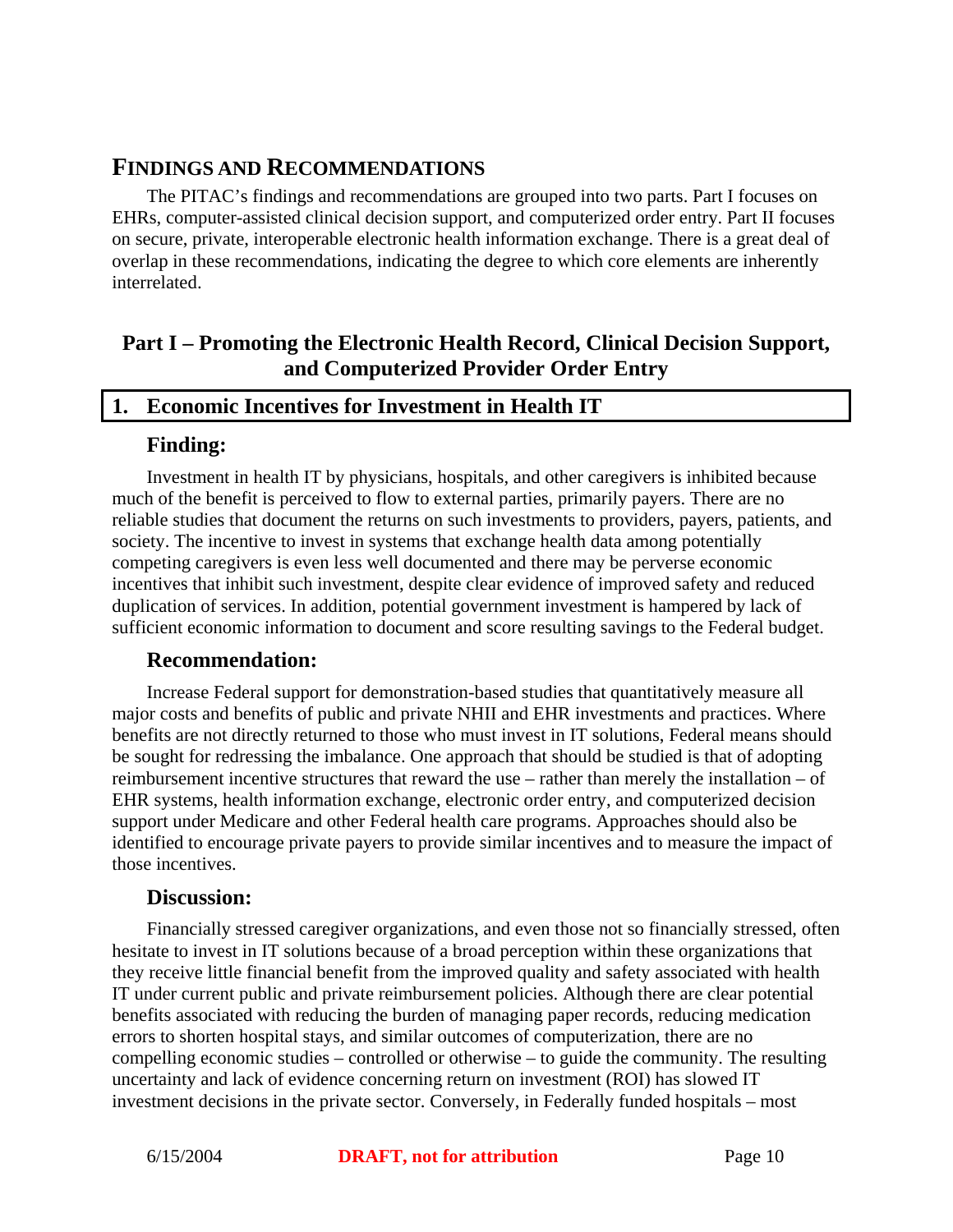# **FINDINGS AND RECOMMENDATIONS**

The PITAC's findings and recommendations are grouped into two parts. Part I focuses on EHRs, computer-assisted clinical decision support, and computerized order entry. Part II focuses on secure, private, interoperable electronic health information exchange. There is a great deal of overlap in these recommendations, indicating the degree to which core elements are inherently interrelated.

# **Part I – Promoting the Electronic Health Record, Clinical Decision Support, and Computerized Provider Order Entry**

#### **1. Economic Incentives for Investment in Health IT**

#### **Finding:**

Investment in health IT by physicians, hospitals, and other caregivers is inhibited because much of the benefit is perceived to flow to external parties, primarily payers. There are no reliable studies that document the returns on such investments to providers, payers, patients, and society. The incentive to invest in systems that exchange health data among potentially competing caregivers is even less well documented and there may be perverse economic incentives that inhibit such investment, despite clear evidence of improved safety and reduced duplication of services. In addition, potential government investment is hampered by lack of sufficient economic information to document and score resulting savings to the Federal budget.

#### **Recommendation:**

Increase Federal support for demonstration-based studies that quantitatively measure all major costs and benefits of public and private NHII and EHR investments and practices. Where benefits are not directly returned to those who must invest in IT solutions, Federal means should be sought for redressing the imbalance. One approach that should be studied is that of adopting reimbursement incentive structures that reward the use – rather than merely the installation – of EHR systems, health information exchange, electronic order entry, and computerized decision support under Medicare and other Federal health care programs. Approaches should also be identified to encourage private payers to provide similar incentives and to measure the impact of those incentives.

#### **Discussion:**

Financially stressed caregiver organizations, and even those not so financially stressed, often hesitate to invest in IT solutions because of a broad perception within these organizations that they receive little financial benefit from the improved quality and safety associated with health IT under current public and private reimbursement policies. Although there are clear potential benefits associated with reducing the burden of managing paper records, reducing medication errors to shorten hospital stays, and similar outcomes of computerization, there are no compelling economic studies – controlled or otherwise – to guide the community. The resulting uncertainty and lack of evidence concerning return on investment (ROI) has slowed IT investment decisions in the private sector. Conversely, in Federally funded hospitals – most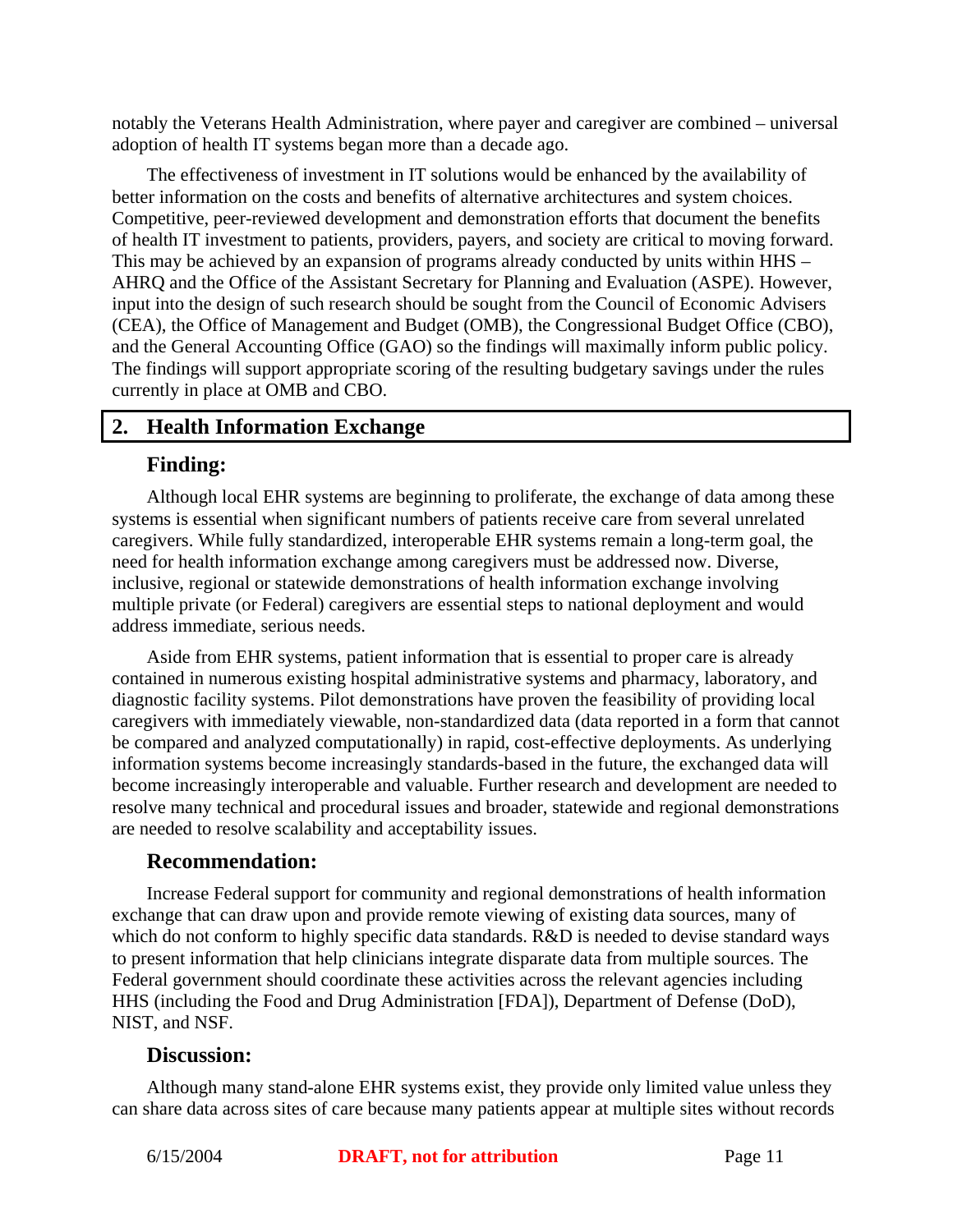notably the Veterans Health Administration, where payer and caregiver are combined – universal adoption of health IT systems began more than a decade ago.

The effectiveness of investment in IT solutions would be enhanced by the availability of better information on the costs and benefits of alternative architectures and system choices. Competitive, peer-reviewed development and demonstration efforts that document the benefits of health IT investment to patients, providers, payers, and society are critical to moving forward. This may be achieved by an expansion of programs already conducted by units within HHS – AHRQ and the Office of the Assistant Secretary for Planning and Evaluation (ASPE). However, input into the design of such research should be sought from the Council of Economic Advisers (CEA), the Office of Management and Budget (OMB), the Congressional Budget Office (CBO), and the General Accounting Office (GAO) so the findings will maximally inform public policy. The findings will support appropriate scoring of the resulting budgetary savings under the rules currently in place at OMB and CBO.

# **2. Health Information Exchange**

#### **Finding:**

Although local EHR systems are beginning to proliferate, the exchange of data among these systems is essential when significant numbers of patients receive care from several unrelated caregivers. While fully standardized, interoperable EHR systems remain a long-term goal, the need for health information exchange among caregivers must be addressed now. Diverse, inclusive, regional or statewide demonstrations of health information exchange involving multiple private (or Federal) caregivers are essential steps to national deployment and would address immediate, serious needs.

Aside from EHR systems, patient information that is essential to proper care is already contained in numerous existing hospital administrative systems and pharmacy, laboratory, and diagnostic facility systems. Pilot demonstrations have proven the feasibility of providing local caregivers with immediately viewable, non-standardized data (data reported in a form that cannot be compared and analyzed computationally) in rapid, cost-effective deployments. As underlying information systems become increasingly standards-based in the future, the exchanged data will become increasingly interoperable and valuable. Further research and development are needed to resolve many technical and procedural issues and broader, statewide and regional demonstrations are needed to resolve scalability and acceptability issues.

#### **Recommendation:**

Increase Federal support for community and regional demonstrations of health information exchange that can draw upon and provide remote viewing of existing data sources, many of which do not conform to highly specific data standards. R&D is needed to devise standard ways to present information that help clinicians integrate disparate data from multiple sources. The Federal government should coordinate these activities across the relevant agencies including HHS (including the Food and Drug Administration [FDA]), Department of Defense (DoD), NIST, and NSF.

#### **Discussion:**

Although many stand-alone EHR systems exist, they provide only limited value unless they can share data across sites of care because many patients appear at multiple sites without records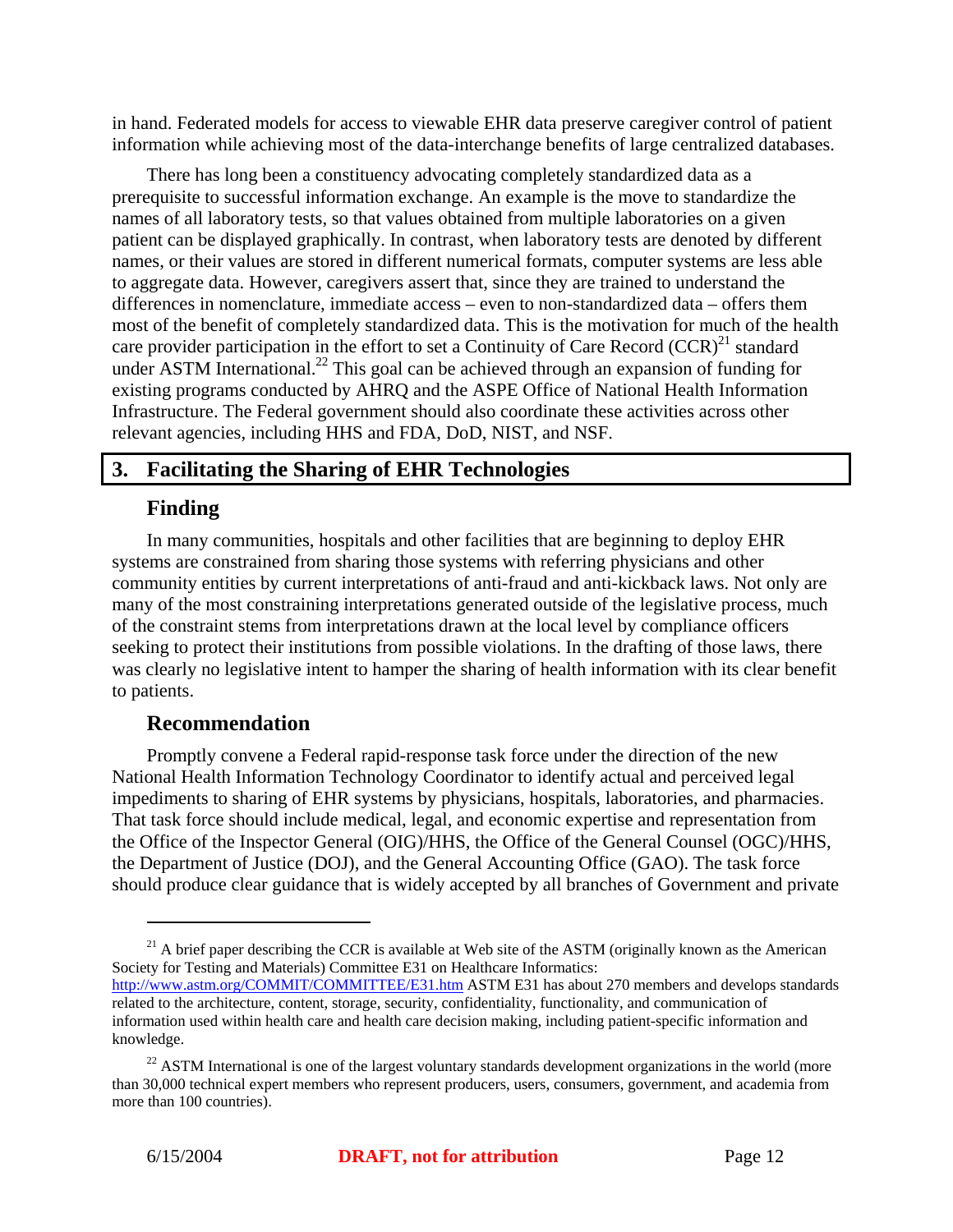in hand. Federated models for access to viewable EHR data preserve caregiver control of patient information while achieving most of the data-interchange benefits of large centralized databases.

There has long been a constituency advocating completely standardized data as a prerequisite to successful information exchange. An example is the move to standardize the names of all laboratory tests, so that values obtained from multiple laboratories on a given patient can be displayed graphically. In contrast, when laboratory tests are denoted by different names, or their values are stored in different numerical formats, computer systems are less able to aggregate data. However, caregivers assert that, since they are trained to understand the differences in nomenclature, immediate access – even to non-standardized data – offers them most of the benefit of completely standardized data. This is the motivation for much of the health care provider participation in the effort to set a Continuity of Care Record  $(CCR)^{21}$  standard under ASTM International.<sup>22</sup> This goal can be achieved through an expansion of funding for existing programs conducted by AHRQ and the ASPE Office of National Health Information Infrastructure. The Federal government should also coordinate these activities across other relevant agencies, including HHS and FDA, DoD, NIST, and NSF.

#### **3. Facilitating the Sharing of EHR Technologies**

#### **Finding**

In many communities, hospitals and other facilities that are beginning to deploy EHR systems are constrained from sharing those systems with referring physicians and other community entities by current interpretations of anti-fraud and anti-kickback laws. Not only are many of the most constraining interpretations generated outside of the legislative process, much of the constraint stems from interpretations drawn at the local level by compliance officers seeking to protect their institutions from possible violations. In the drafting of those laws, there was clearly no legislative intent to hamper the sharing of health information with its clear benefit to patients.

#### **Recommendation**

Promptly convene a Federal rapid-response task force under the direction of the new National Health Information Technology Coordinator to identify actual and perceived legal impediments to sharing of EHR systems by physicians, hospitals, laboratories, and pharmacies. That task force should include medical, legal, and economic expertise and representation from the Office of the Inspector General (OIG)/HHS, the Office of the General Counsel (OGC)/HHS, the Department of Justice (DOJ), and the General Accounting Office (GAO). The task force should produce clear guidance that is widely accepted by all branches of Government and private

 $21$  A brief paper describing the CCR is available at Web site of the ASTM (originally known as the American Society for Testing and Materials) Committee E31 on Healthcare Informatics: http://www.astm.org/COMMIT/COMMITTEE/E31.htm ASTM E31 has about 270 members and develops standards related to the architecture, content, storage, security, confidentiality, functionality, and communication of information used within health care and health care decision making, including patient-specific information and knowledge.

<sup>&</sup>lt;sup>22</sup> ASTM International is one of the largest voluntary standards development organizations in the world (more than 30,000 technical expert members who represent producers, users, consumers, government, and academia from more than 100 countries).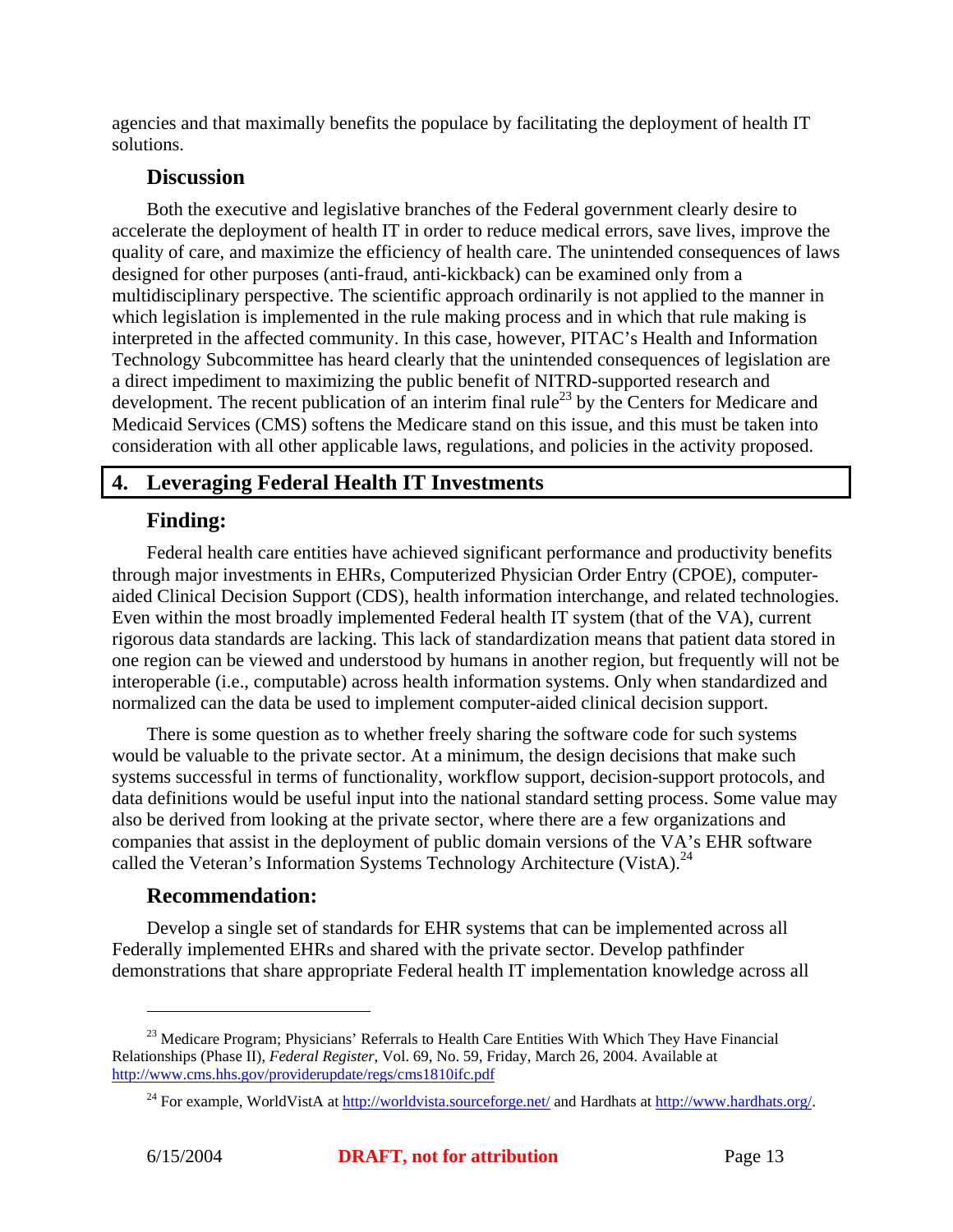agencies and that maximally benefits the populace by facilitating the deployment of health IT solutions.

# **Discussion**

Both the executive and legislative branches of the Federal government clearly desire to accelerate the deployment of health IT in order to reduce medical errors, save lives, improve the quality of care, and maximize the efficiency of health care. The unintended consequences of laws designed for other purposes (anti-fraud, anti-kickback) can be examined only from a multidisciplinary perspective. The scientific approach ordinarily is not applied to the manner in which legislation is implemented in the rule making process and in which that rule making is interpreted in the affected community. In this case, however, PITAC's Health and Information Technology Subcommittee has heard clearly that the unintended consequences of legislation are a direct impediment to maximizing the public benefit of NITRD-supported research and development. The recent publication of an interim final rule<sup>23</sup> by the Centers for Medicare and Medicaid Services (CMS) softens the Medicare stand on this issue, and this must be taken into consideration with all other applicable laws, regulations, and policies in the activity proposed.

# **4. Leveraging Federal Health IT Investments**

# **Finding:**

Federal health care entities have achieved significant performance and productivity benefits through major investments in EHRs, Computerized Physician Order Entry (CPOE), computeraided Clinical Decision Support (CDS), health information interchange, and related technologies. Even within the most broadly implemented Federal health IT system (that of the VA), current rigorous data standards are lacking. This lack of standardization means that patient data stored in one region can be viewed and understood by humans in another region, but frequently will not be interoperable (i.e., computable) across health information systems. Only when standardized and normalized can the data be used to implement computer-aided clinical decision support.

There is some question as to whether freely sharing the software code for such systems would be valuable to the private sector. At a minimum, the design decisions that make such systems successful in terms of functionality, workflow support, decision-support protocols, and data definitions would be useful input into the national standard setting process. Some value may also be derived from looking at the private sector, where there are a few organizations and companies that assist in the deployment of public domain versions of the VA's EHR software called the Veteran's Information Systems Technology Architecture (VistA).<sup>24</sup>

# **Recommendation:**

Develop a single set of standards for EHR systems that can be implemented across all Federally implemented EHRs and shared with the private sector. Develop pathfinder demonstrations that share appropriate Federal health IT implementation knowledge across all

<u>.</u>

<sup>&</sup>lt;sup>23</sup> Medicare Program; Physicians' Referrals to Health Care Entities With Which They Have Financial Relationships (Phase II), *Federal Register*, Vol. 69, No. 59, Friday, March 26, 2004. Available at http://www.cms.hhs.gov/providerupdate/regs/cms1810ifc.pdf

<sup>&</sup>lt;sup>24</sup> For example, WorldVistA at http://worldvista.sourceforge.net/ and Hardhats at http://www.hardhats.org/.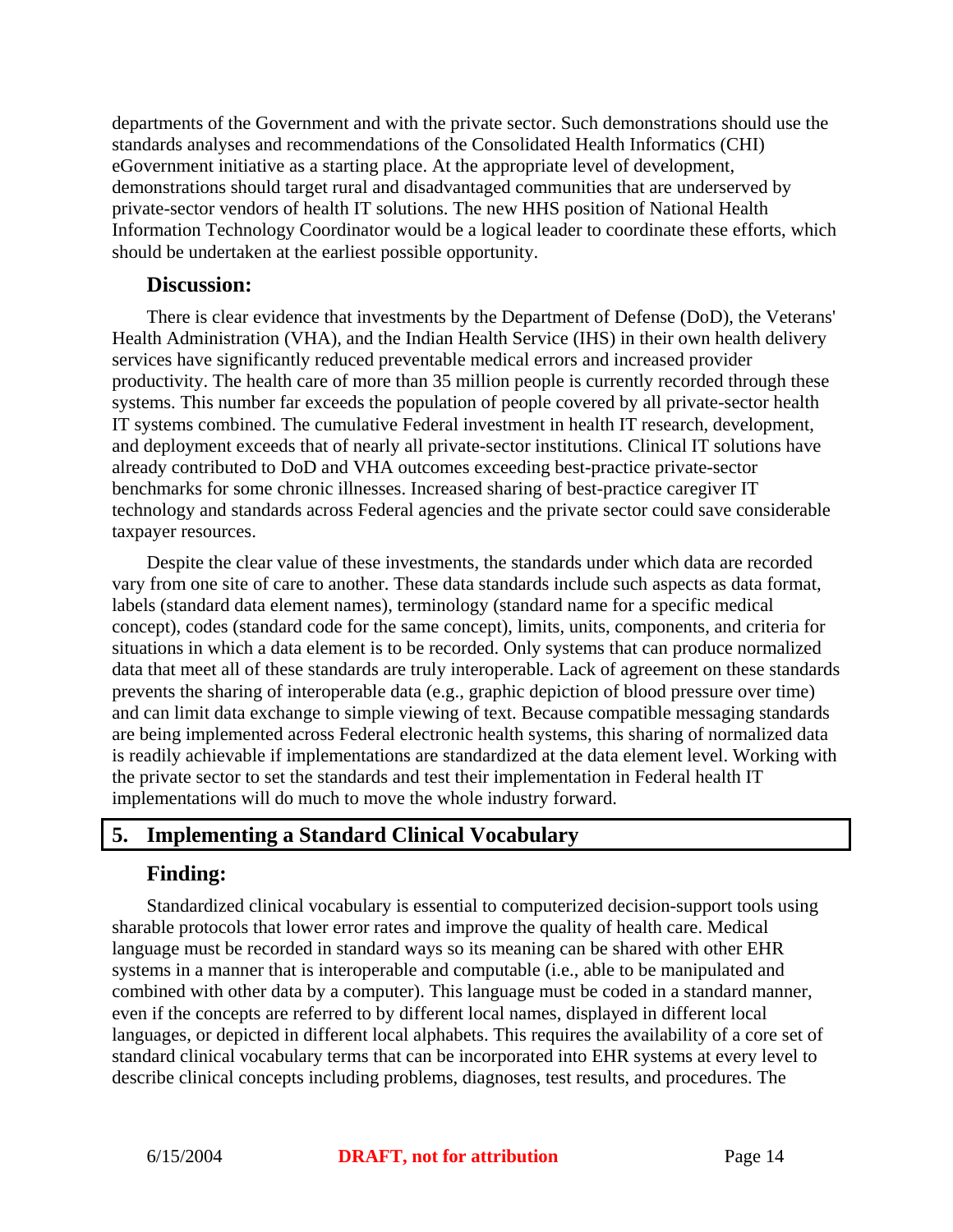departments of the Government and with the private sector. Such demonstrations should use the standards analyses and recommendations of the Consolidated Health Informatics (CHI) eGovernment initiative as a starting place. At the appropriate level of development, demonstrations should target rural and disadvantaged communities that are underserved by private-sector vendors of health IT solutions. The new HHS position of National Health Information Technology Coordinator would be a logical leader to coordinate these efforts, which should be undertaken at the earliest possible opportunity.

#### **Discussion:**

There is clear evidence that investments by the Department of Defense (DoD), the Veterans' Health Administration (VHA), and the Indian Health Service (IHS) in their own health delivery services have significantly reduced preventable medical errors and increased provider productivity. The health care of more than 35 million people is currently recorded through these systems. This number far exceeds the population of people covered by all private-sector health IT systems combined. The cumulative Federal investment in health IT research, development, and deployment exceeds that of nearly all private-sector institutions. Clinical IT solutions have already contributed to DoD and VHA outcomes exceeding best-practice private-sector benchmarks for some chronic illnesses. Increased sharing of best-practice caregiver IT technology and standards across Federal agencies and the private sector could save considerable taxpayer resources.

Despite the clear value of these investments, the standards under which data are recorded vary from one site of care to another. These data standards include such aspects as data format, labels (standard data element names), terminology (standard name for a specific medical concept), codes (standard code for the same concept), limits, units, components, and criteria for situations in which a data element is to be recorded. Only systems that can produce normalized data that meet all of these standards are truly interoperable. Lack of agreement on these standards prevents the sharing of interoperable data (e.g., graphic depiction of blood pressure over time) and can limit data exchange to simple viewing of text. Because compatible messaging standards are being implemented across Federal electronic health systems, this sharing of normalized data is readily achievable if implementations are standardized at the data element level. Working with the private sector to set the standards and test their implementation in Federal health IT implementations will do much to move the whole industry forward.

# **5. Implementing a Standard Clinical Vocabulary**

#### **Finding:**

Standardized clinical vocabulary is essential to computerized decision-support tools using sharable protocols that lower error rates and improve the quality of health care. Medical language must be recorded in standard ways so its meaning can be shared with other EHR systems in a manner that is interoperable and computable (i.e., able to be manipulated and combined with other data by a computer). This language must be coded in a standard manner, even if the concepts are referred to by different local names, displayed in different local languages, or depicted in different local alphabets. This requires the availability of a core set of standard clinical vocabulary terms that can be incorporated into EHR systems at every level to describe clinical concepts including problems, diagnoses, test results, and procedures. The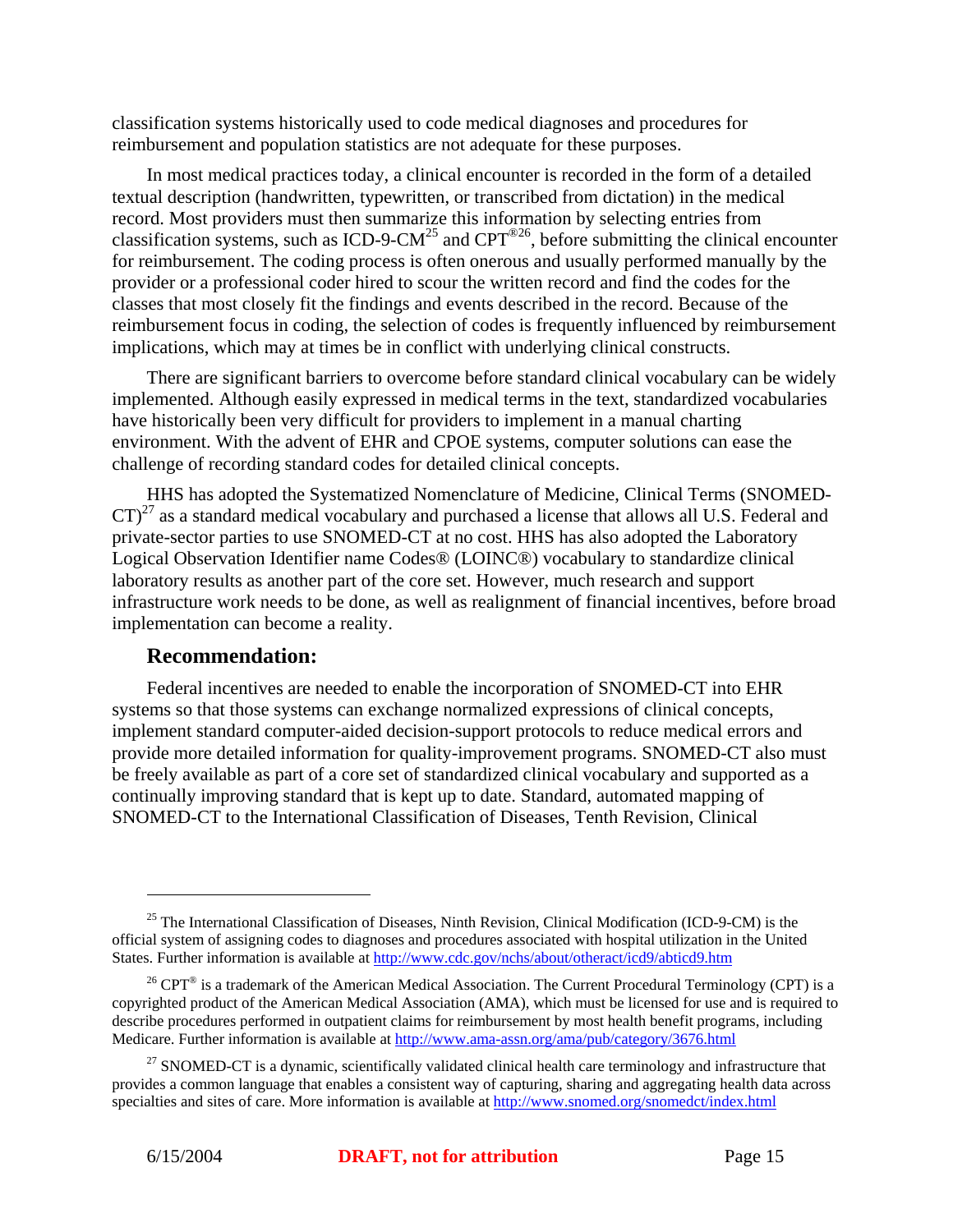classification systems historically used to code medical diagnoses and procedures for reimbursement and population statistics are not adequate for these purposes.

In most medical practices today, a clinical encounter is recorded in the form of a detailed textual description (handwritten, typewritten, or transcribed from dictation) in the medical record. Most providers must then summarize this information by selecting entries from classification systems, such as ICD-9-CM<sup>25</sup> and CPT<sup>®26</sup>, before submitting the clinical encounter for reimbursement. The coding process is often onerous and usually performed manually by the provider or a professional coder hired to scour the written record and find the codes for the classes that most closely fit the findings and events described in the record. Because of the reimbursement focus in coding, the selection of codes is frequently influenced by reimbursement implications, which may at times be in conflict with underlying clinical constructs.

There are significant barriers to overcome before standard clinical vocabulary can be widely implemented. Although easily expressed in medical terms in the text, standardized vocabularies have historically been very difficult for providers to implement in a manual charting environment. With the advent of EHR and CPOE systems, computer solutions can ease the challenge of recording standard codes for detailed clinical concepts.

HHS has adopted the Systematized Nomenclature of Medicine, Clinical Terms (SNOMED- $CT)^{27}$  as a standard medical vocabulary and purchased a license that allows all U.S. Federal and private-sector parties to use SNOMED-CT at no cost. HHS has also adopted the Laboratory Logical Observation Identifier name Codes® (LOINC®) vocabulary to standardize clinical laboratory results as another part of the core set. However, much research and support infrastructure work needs to be done, as well as realignment of financial incentives, before broad implementation can become a reality.

#### **Recommendation:**

Federal incentives are needed to enable the incorporation of SNOMED-CT into EHR systems so that those systems can exchange normalized expressions of clinical concepts, implement standard computer-aided decision-support protocols to reduce medical errors and provide more detailed information for quality-improvement programs. SNOMED-CT also must be freely available as part of a core set of standardized clinical vocabulary and supported as a continually improving standard that is kept up to date. Standard, automated mapping of SNOMED-CT to the International Classification of Diseases, Tenth Revision, Clinical

<sup>&</sup>lt;sup>25</sup> The International Classification of Diseases, Ninth Revision, Clinical Modification (ICD-9-CM) is the official system of assigning codes to diagnoses and procedures associated with hospital utilization in the United States. Further information is available at http://www.cdc.gov/nchs/about/otheract/icd9/abticd9.htm

<sup>&</sup>lt;sup>26</sup> CPT<sup>®</sup> is a trademark of the American Medical Association. The Current Procedural Terminology (CPT) is a copyrighted product of the American Medical Association (AMA), which must be licensed for use and is required to describe procedures performed in outpatient claims for reimbursement by most health benefit programs, including Medicare. Further information is available at http://www.ama-assn.org/ama/pub/category/3676.html

<sup>&</sup>lt;sup>27</sup> SNOMED-CT is a dynamic, scientifically validated clinical health care terminology and infrastructure that provides a common language that enables a consistent way of capturing, sharing and aggregating health data across specialties and sites of care. More information is available at http://www.snomed.org/snomedct/index.html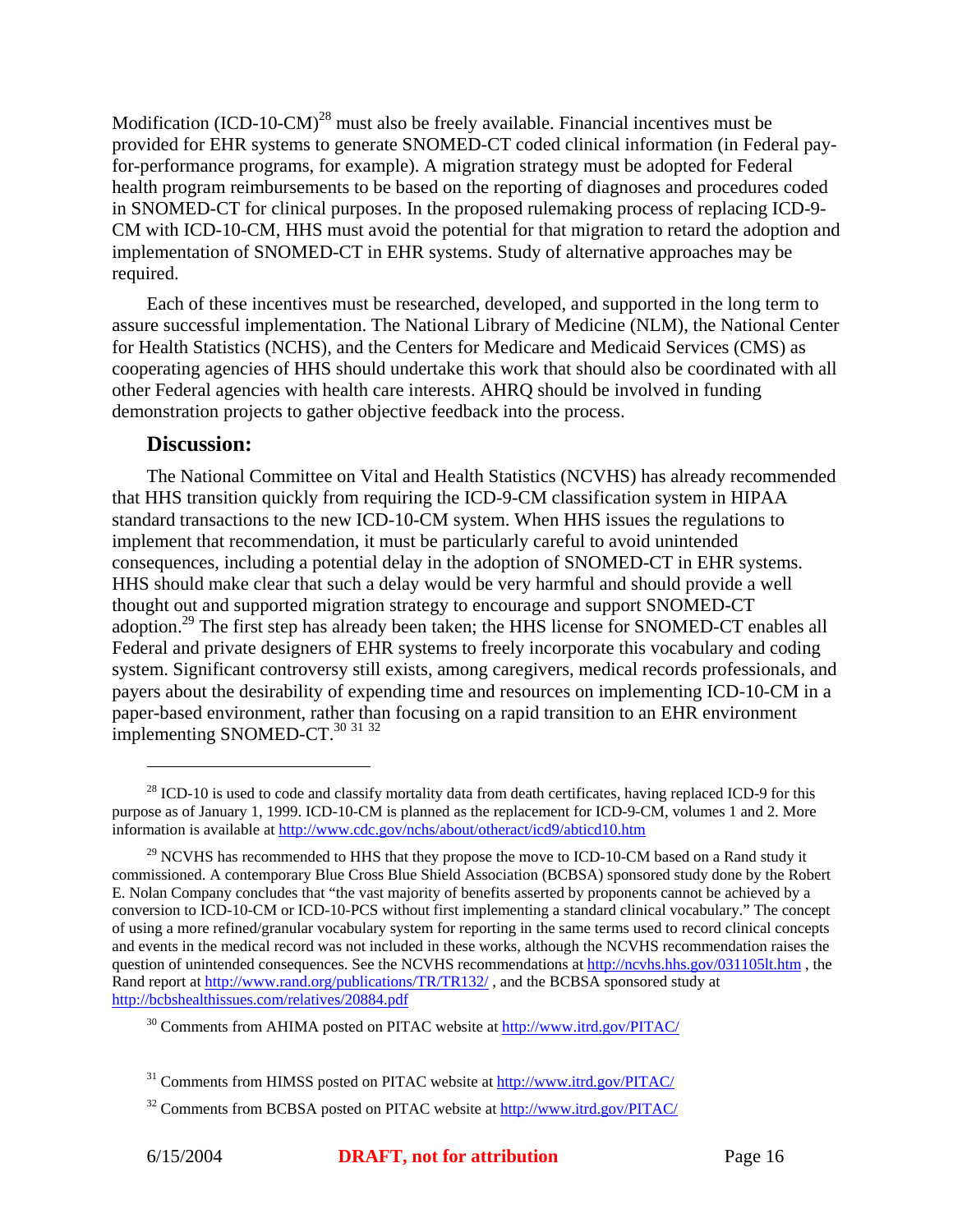Modification  $(ICD-10-CM)^{28}$  must also be freely available. Financial incentives must be provided for EHR systems to generate SNOMED-CT coded clinical information (in Federal payfor-performance programs, for example). A migration strategy must be adopted for Federal health program reimbursements to be based on the reporting of diagnoses and procedures coded in SNOMED-CT for clinical purposes. In the proposed rulemaking process of replacing ICD-9- CM with ICD-10-CM, HHS must avoid the potential for that migration to retard the adoption and implementation of SNOMED-CT in EHR systems. Study of alternative approaches may be required.

Each of these incentives must be researched, developed, and supported in the long term to assure successful implementation. The National Library of Medicine (NLM), the National Center for Health Statistics (NCHS), and the Centers for Medicare and Medicaid Services (CMS) as cooperating agencies of HHS should undertake this work that should also be coordinated with all other Federal agencies with health care interests. AHRQ should be involved in funding demonstration projects to gather objective feedback into the process.

#### **Discussion:**

<u>.</u>

The National Committee on Vital and Health Statistics (NCVHS) has already recommended that HHS transition quickly from requiring the ICD-9-CM classification system in HIPAA standard transactions to the new ICD-10-CM system. When HHS issues the regulations to implement that recommendation, it must be particularly careful to avoid unintended consequences, including a potential delay in the adoption of SNOMED-CT in EHR systems. HHS should make clear that such a delay would be very harmful and should provide a well thought out and supported migration strategy to encourage and support SNOMED-CT adoption.<sup>29</sup> The first step has already been taken; the HHS license for SNOMED-CT enables all Federal and private designers of EHR systems to freely incorporate this vocabulary and coding system. Significant controversy still exists, among caregivers, medical records professionals, and payers about the desirability of expending time and resources on implementing ICD-10-CM in a paper-based environment, rather than focusing on a rapid transition to an EHR environment implementing SNOMED-CT.<sup>30</sup> 31 32

 $^{28}$  ICD-10 is used to code and classify mortality data from death certificates, having replaced ICD-9 for this purpose as of January 1, 1999. ICD-10-CM is planned as the replacement for ICD-9-CM, volumes 1 and 2. More information is available at http://www.cdc.gov/nchs/about/otheract/icd9/abticd10.htm

 $29$  NCVHS has recommended to HHS that they propose the move to ICD-10-CM based on a Rand study it commissioned. A contemporary Blue Cross Blue Shield Association (BCBSA) sponsored study done by the Robert E. Nolan Company concludes that "the vast majority of benefits asserted by proponents cannot be achieved by a conversion to ICD-10-CM or ICD-10-PCS without first implementing a standard clinical vocabulary." The concept of using a more refined/granular vocabulary system for reporting in the same terms used to record clinical concepts and events in the medical record was not included in these works, although the NCVHS recommendation raises the question of unintended consequences. See the NCVHS recommendations at http://ncvhs.hhs.gov/031105lt.htm , the Rand report at http://www.rand.org/publications/TR/TR132/ , and the BCBSA sponsored study at http://bcbshealthissues.com/relatives/20884.pdf

<sup>&</sup>lt;sup>30</sup> Comments from AHIMA posted on PITAC website at http://www.itrd.gov/PITAC/

<sup>&</sup>lt;sup>31</sup> Comments from HIMSS posted on PITAC website at http://www.itrd.gov/PITAC/

<sup>&</sup>lt;sup>32</sup> Comments from BCBSA posted on PITAC website at http://www.itrd.gov/PITAC/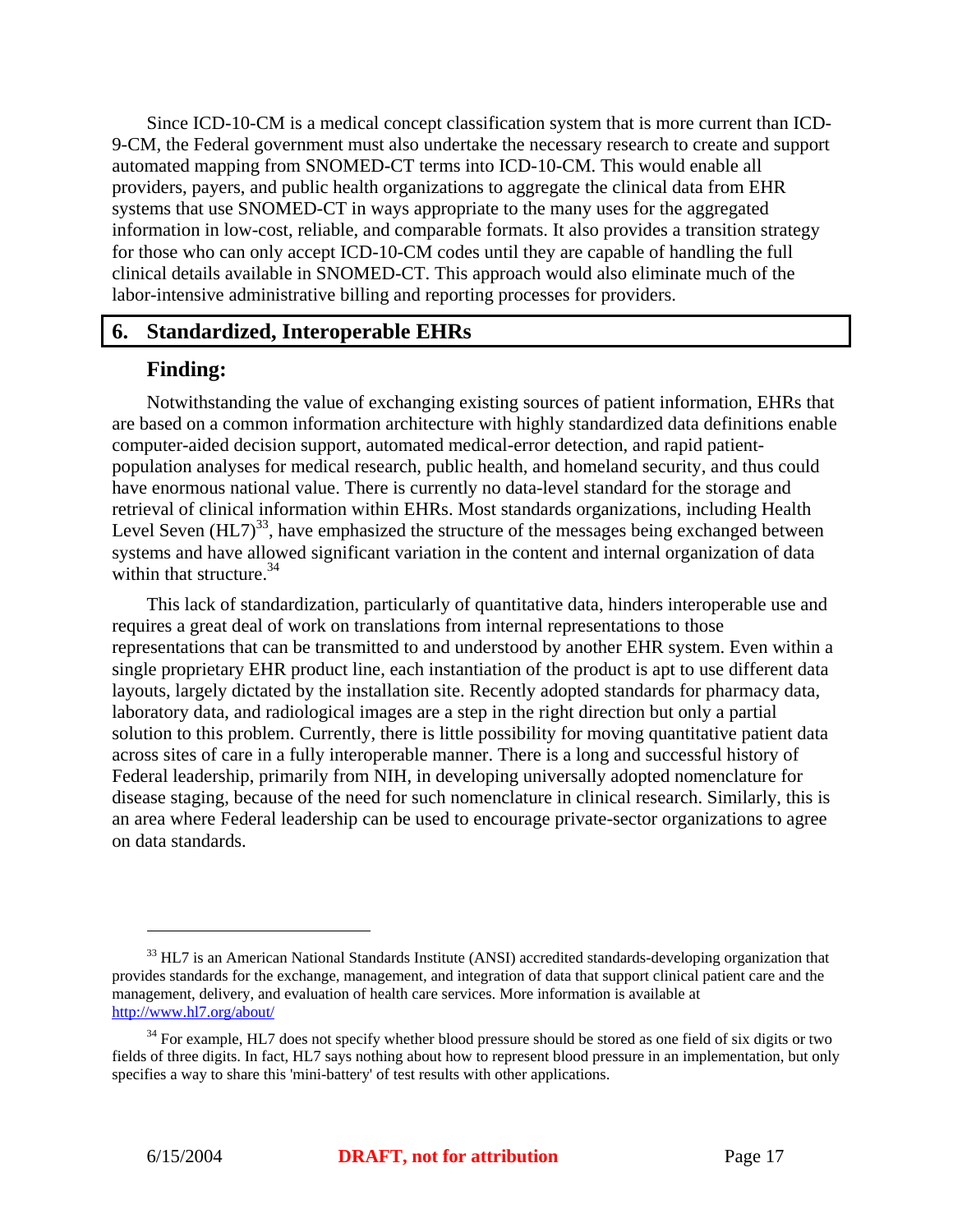Since ICD-10-CM is a medical concept classification system that is more current than ICD-9-CM, the Federal government must also undertake the necessary research to create and support automated mapping from SNOMED-CT terms into ICD-10-CM. This would enable all providers, payers, and public health organizations to aggregate the clinical data from EHR systems that use SNOMED-CT in ways appropriate to the many uses for the aggregated information in low-cost, reliable, and comparable formats. It also provides a transition strategy for those who can only accept ICD-10-CM codes until they are capable of handling the full clinical details available in SNOMED-CT. This approach would also eliminate much of the labor-intensive administrative billing and reporting processes for providers.

#### **6. Standardized, Interoperable EHRs**

#### **Finding:**

Notwithstanding the value of exchanging existing sources of patient information, EHRs that are based on a common information architecture with highly standardized data definitions enable computer-aided decision support, automated medical-error detection, and rapid patientpopulation analyses for medical research, public health, and homeland security, and thus could have enormous national value. There is currently no data-level standard for the storage and retrieval of clinical information within EHRs. Most standards organizations, including Health Level Seven  $(HL7)^{33}$ , have emphasized the structure of the messages being exchanged between systems and have allowed significant variation in the content and internal organization of data within that structure. $34$ 

This lack of standardization, particularly of quantitative data, hinders interoperable use and requires a great deal of work on translations from internal representations to those representations that can be transmitted to and understood by another EHR system. Even within a single proprietary EHR product line, each instantiation of the product is apt to use different data layouts, largely dictated by the installation site. Recently adopted standards for pharmacy data, laboratory data, and radiological images are a step in the right direction but only a partial solution to this problem. Currently, there is little possibility for moving quantitative patient data across sites of care in a fully interoperable manner. There is a long and successful history of Federal leadership, primarily from NIH, in developing universally adopted nomenclature for disease staging, because of the need for such nomenclature in clinical research. Similarly, this is an area where Federal leadership can be used to encourage private-sector organizations to agree on data standards.

<sup>&</sup>lt;sup>33</sup> HL7 is an American National Standards Institute (ANSI) accredited standards-developing organization that provides standards for the exchange, management, and integration of data that support clinical patient care and the management, delivery, and evaluation of health care services. More information is available at http://www.hl7.org/about/

<sup>&</sup>lt;sup>34</sup> For example, HL7 does not specify whether blood pressure should be stored as one field of six digits or two fields of three digits. In fact, HL7 says nothing about how to represent blood pressure in an implementation, but only specifies a way to share this 'mini-battery' of test results with other applications.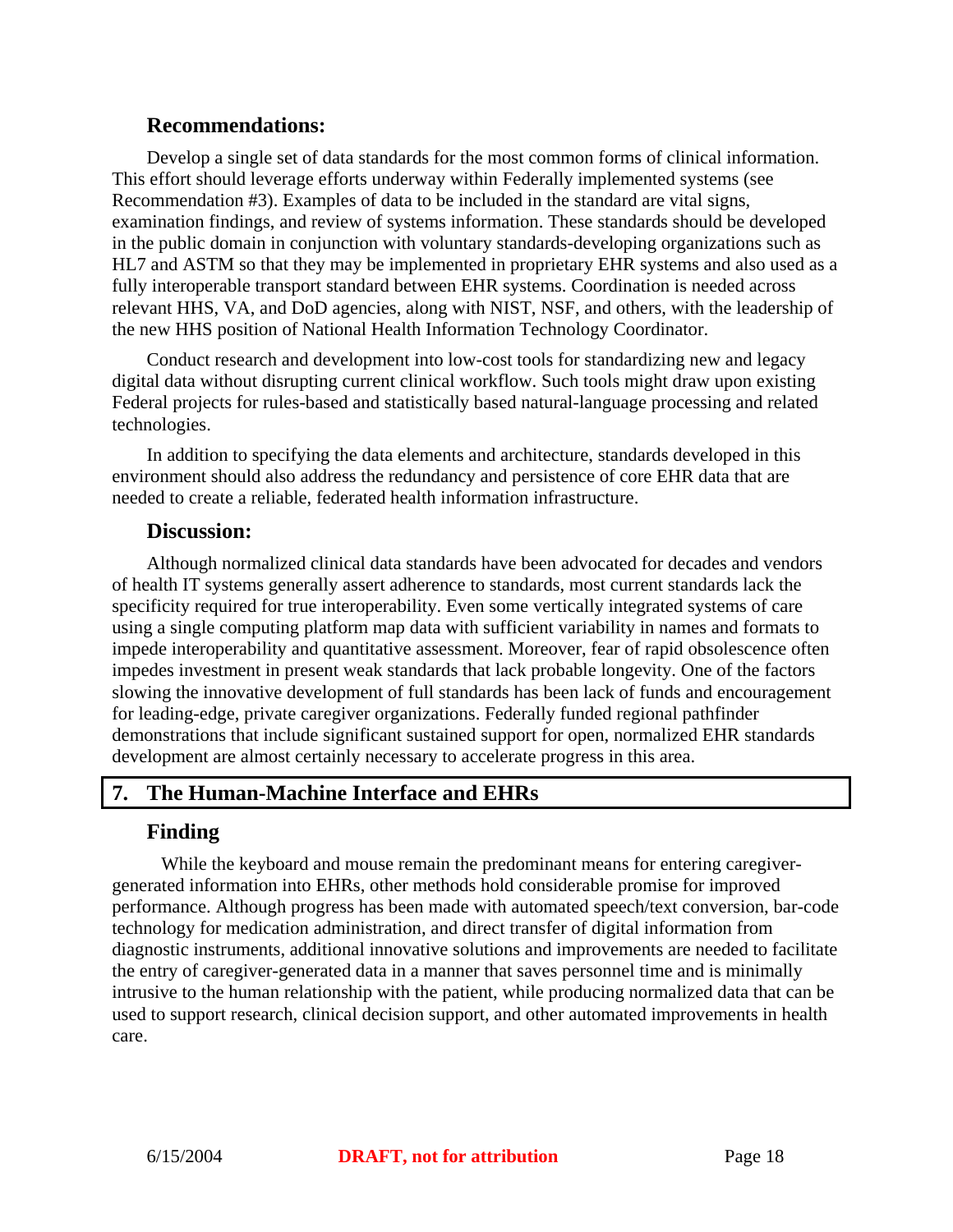#### **Recommendations:**

Develop a single set of data standards for the most common forms of clinical information. This effort should leverage efforts underway within Federally implemented systems (see Recommendation #3). Examples of data to be included in the standard are vital signs, examination findings, and review of systems information. These standards should be developed in the public domain in conjunction with voluntary standards-developing organizations such as HL7 and ASTM so that they may be implemented in proprietary EHR systems and also used as a fully interoperable transport standard between EHR systems. Coordination is needed across relevant HHS, VA, and DoD agencies, along with NIST, NSF, and others, with the leadership of the new HHS position of National Health Information Technology Coordinator.

Conduct research and development into low-cost tools for standardizing new and legacy digital data without disrupting current clinical workflow. Such tools might draw upon existing Federal projects for rules-based and statistically based natural-language processing and related technologies.

In addition to specifying the data elements and architecture, standards developed in this environment should also address the redundancy and persistence of core EHR data that are needed to create a reliable, federated health information infrastructure.

#### **Discussion:**

Although normalized clinical data standards have been advocated for decades and vendors of health IT systems generally assert adherence to standards, most current standards lack the specificity required for true interoperability. Even some vertically integrated systems of care using a single computing platform map data with sufficient variability in names and formats to impede interoperability and quantitative assessment. Moreover, fear of rapid obsolescence often impedes investment in present weak standards that lack probable longevity. One of the factors slowing the innovative development of full standards has been lack of funds and encouragement for leading-edge, private caregiver organizations. Federally funded regional pathfinder demonstrations that include significant sustained support for open, normalized EHR standards development are almost certainly necessary to accelerate progress in this area.

# **7. The Human-Machine Interface and EHRs**

# **Finding**

While the keyboard and mouse remain the predominant means for entering caregivergenerated information into EHRs, other methods hold considerable promise for improved performance. Although progress has been made with automated speech/text conversion, bar-code technology for medication administration, and direct transfer of digital information from diagnostic instruments, additional innovative solutions and improvements are needed to facilitate the entry of caregiver-generated data in a manner that saves personnel time and is minimally intrusive to the human relationship with the patient, while producing normalized data that can be used to support research, clinical decision support, and other automated improvements in health care.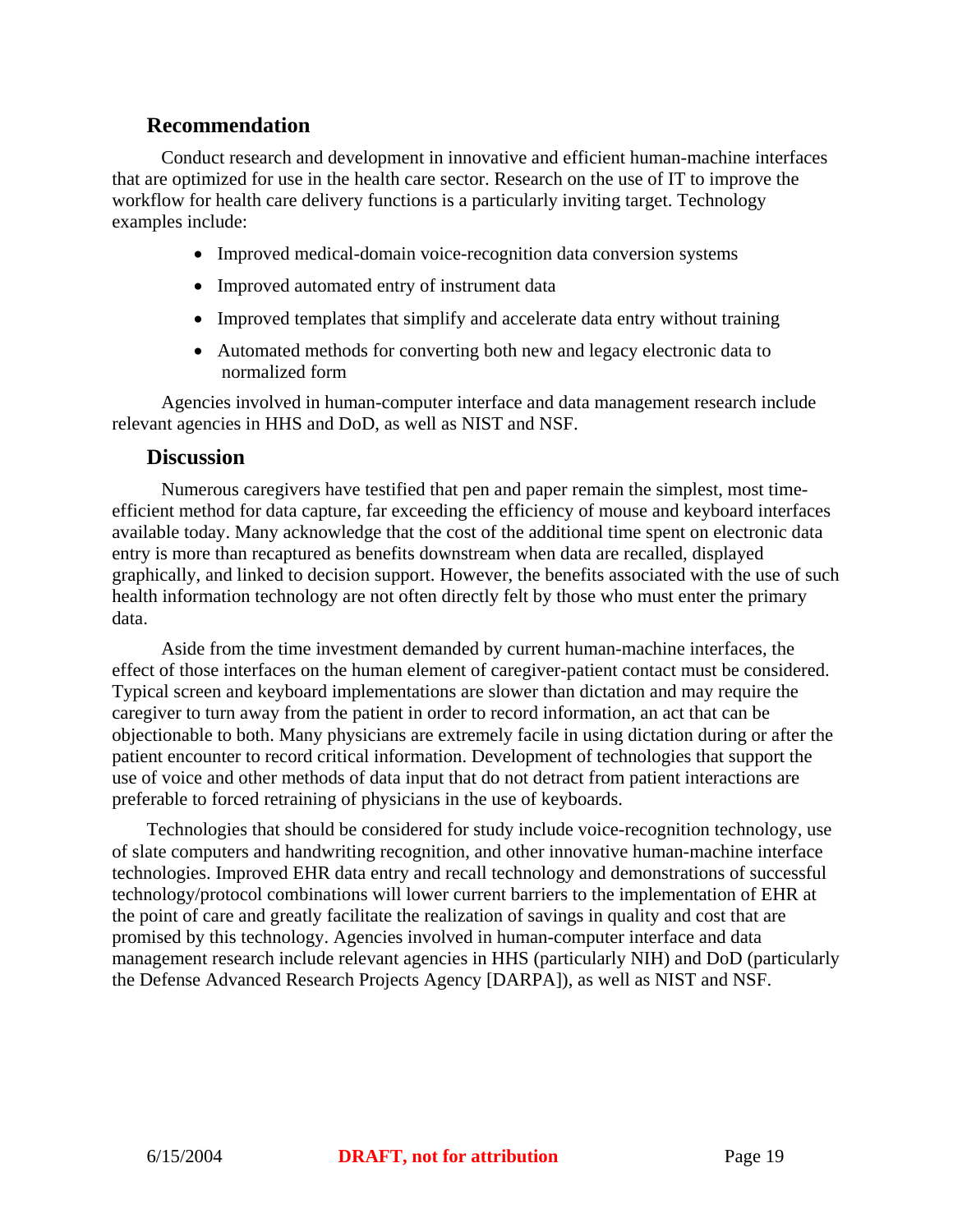#### **Recommendation**

Conduct research and development in innovative and efficient human-machine interfaces that are optimized for use in the health care sector. Research on the use of IT to improve the workflow for health care delivery functions is a particularly inviting target. Technology examples include:

- Improved medical-domain voice-recognition data conversion systems
- Improved automated entry of instrument data
- Improved templates that simplify and accelerate data entry without training
- Automated methods for converting both new and legacy electronic data to normalized form

Agencies involved in human-computer interface and data management research include relevant agencies in HHS and DoD, as well as NIST and NSF.

#### **Discussion**

Numerous caregivers have testified that pen and paper remain the simplest, most timeefficient method for data capture, far exceeding the efficiency of mouse and keyboard interfaces available today. Many acknowledge that the cost of the additional time spent on electronic data entry is more than recaptured as benefits downstream when data are recalled, displayed graphically, and linked to decision support. However, the benefits associated with the use of such health information technology are not often directly felt by those who must enter the primary data.

Aside from the time investment demanded by current human-machine interfaces, the effect of those interfaces on the human element of caregiver-patient contact must be considered. Typical screen and keyboard implementations are slower than dictation and may require the caregiver to turn away from the patient in order to record information, an act that can be objectionable to both. Many physicians are extremely facile in using dictation during or after the patient encounter to record critical information. Development of technologies that support the use of voice and other methods of data input that do not detract from patient interactions are preferable to forced retraining of physicians in the use of keyboards.

Technologies that should be considered for study include voice-recognition technology, use of slate computers and handwriting recognition, and other innovative human-machine interface technologies. Improved EHR data entry and recall technology and demonstrations of successful technology/protocol combinations will lower current barriers to the implementation of EHR at the point of care and greatly facilitate the realization of savings in quality and cost that are promised by this technology. Agencies involved in human-computer interface and data management research include relevant agencies in HHS (particularly NIH) and DoD (particularly the Defense Advanced Research Projects Agency [DARPA]), as well as NIST and NSF.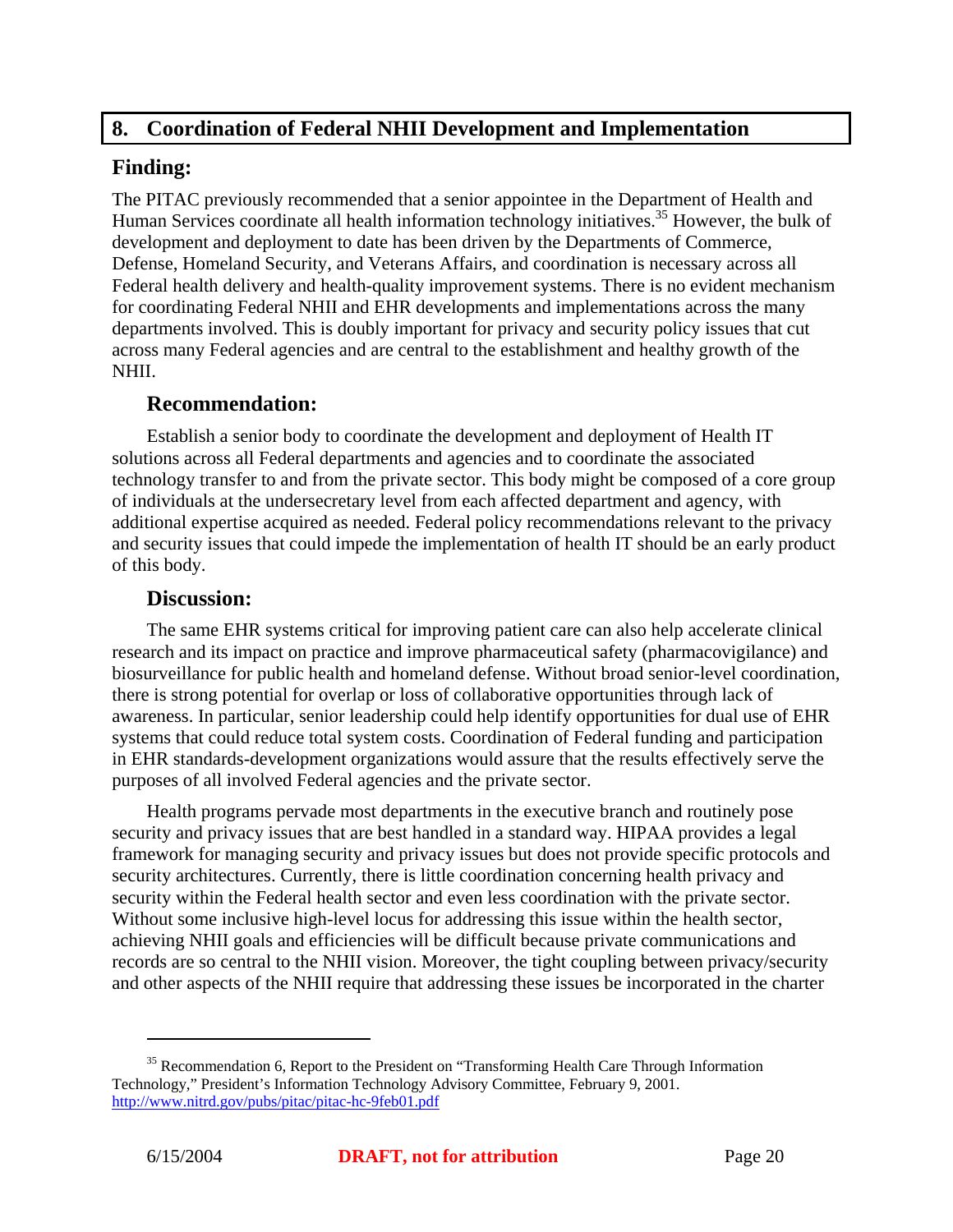# **8. Coordination of Federal NHII Development and Implementation**

## **Finding:**

The PITAC previously recommended that a senior appointee in the Department of Health and Human Services coordinate all health information technology initiatives.<sup>35</sup> However, the bulk of development and deployment to date has been driven by the Departments of Commerce, Defense, Homeland Security, and Veterans Affairs, and coordination is necessary across all Federal health delivery and health-quality improvement systems. There is no evident mechanism for coordinating Federal NHII and EHR developments and implementations across the many departments involved. This is doubly important for privacy and security policy issues that cut across many Federal agencies and are central to the establishment and healthy growth of the NHII.

# **Recommendation:**

Establish a senior body to coordinate the development and deployment of Health IT solutions across all Federal departments and agencies and to coordinate the associated technology transfer to and from the private sector. This body might be composed of a core group of individuals at the undersecretary level from each affected department and agency, with additional expertise acquired as needed. Federal policy recommendations relevant to the privacy and security issues that could impede the implementation of health IT should be an early product of this body.

#### **Discussion:**

The same EHR systems critical for improving patient care can also help accelerate clinical research and its impact on practice and improve pharmaceutical safety (pharmacovigilance) and biosurveillance for public health and homeland defense. Without broad senior-level coordination, there is strong potential for overlap or loss of collaborative opportunities through lack of awareness. In particular, senior leadership could help identify opportunities for dual use of EHR systems that could reduce total system costs. Coordination of Federal funding and participation in EHR standards-development organizations would assure that the results effectively serve the purposes of all involved Federal agencies and the private sector.

Health programs pervade most departments in the executive branch and routinely pose security and privacy issues that are best handled in a standard way. HIPAA provides a legal framework for managing security and privacy issues but does not provide specific protocols and security architectures. Currently, there is little coordination concerning health privacy and security within the Federal health sector and even less coordination with the private sector. Without some inclusive high-level locus for addressing this issue within the health sector, achieving NHII goals and efficiencies will be difficult because private communications and records are so central to the NHII vision. Moreover, the tight coupling between privacy/security and other aspects of the NHII require that addressing these issues be incorporated in the charter

<sup>&</sup>lt;sup>35</sup> Recommendation 6, Report to the President on "Transforming Health Care Through Information Technology," President's Information Technology Advisory Committee, February 9, 2001. http://www.nitrd.gov/pubs/pitac/pitac-hc-9feb01.pdf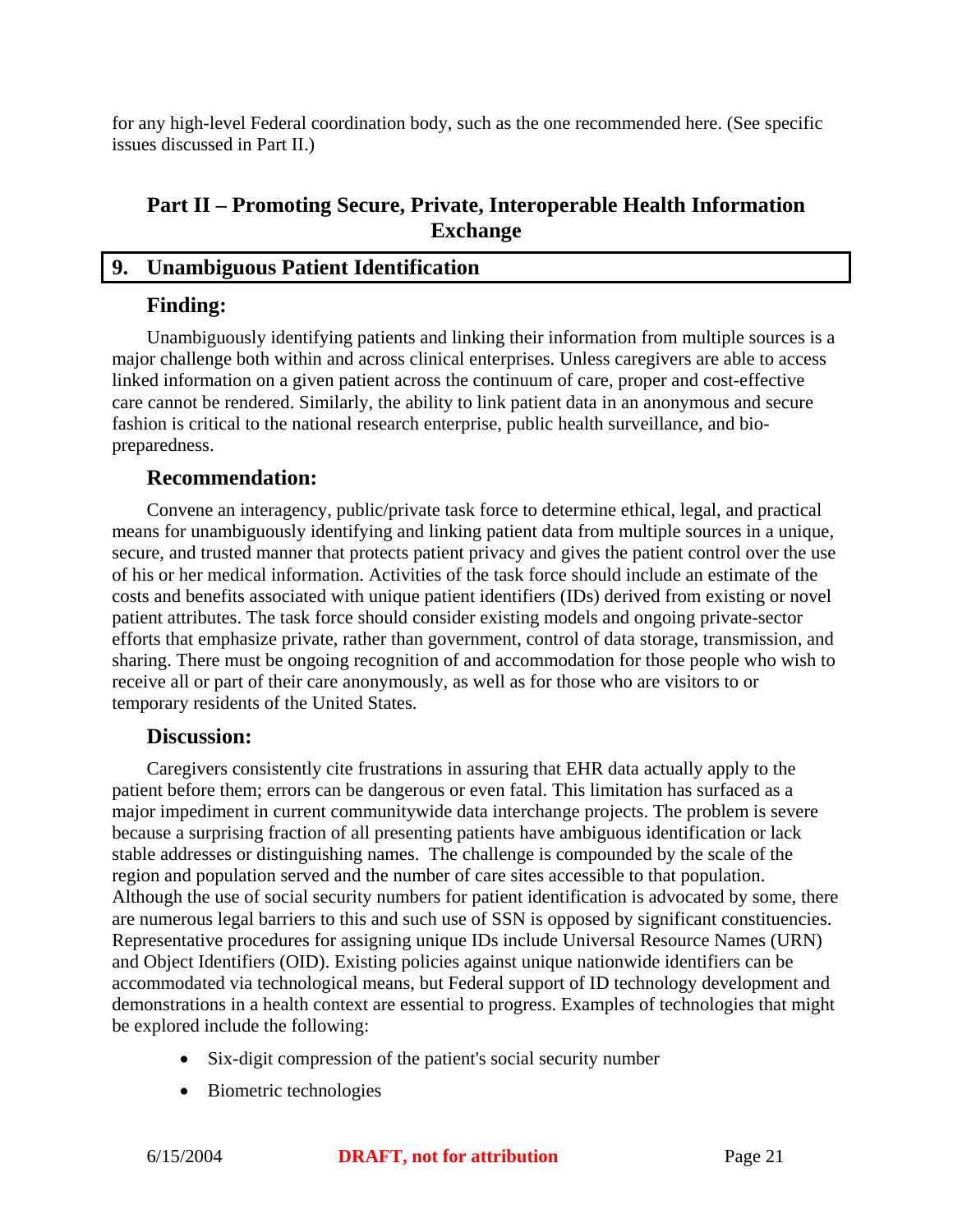for any high-level Federal coordination body, such as the one recommended here. (See specific issues discussed in Part II.)

# **Part II – Promoting Secure, Private, Interoperable Health Information Exchange**

## **9. Unambiguous Patient Identification**

## **Finding:**

Unambiguously identifying patients and linking their information from multiple sources is a major challenge both within and across clinical enterprises. Unless caregivers are able to access linked information on a given patient across the continuum of care, proper and cost-effective care cannot be rendered. Similarly, the ability to link patient data in an anonymous and secure fashion is critical to the national research enterprise, public health surveillance, and biopreparedness.

# **Recommendation:**

Convene an interagency, public/private task force to determine ethical, legal, and practical means for unambiguously identifying and linking patient data from multiple sources in a unique, secure, and trusted manner that protects patient privacy and gives the patient control over the use of his or her medical information. Activities of the task force should include an estimate of the costs and benefits associated with unique patient identifiers (IDs) derived from existing or novel patient attributes. The task force should consider existing models and ongoing private-sector efforts that emphasize private, rather than government, control of data storage, transmission, and sharing. There must be ongoing recognition of and accommodation for those people who wish to receive all or part of their care anonymously, as well as for those who are visitors to or temporary residents of the United States.

#### **Discussion:**

Caregivers consistently cite frustrations in assuring that EHR data actually apply to the patient before them; errors can be dangerous or even fatal. This limitation has surfaced as a major impediment in current communitywide data interchange projects. The problem is severe because a surprising fraction of all presenting patients have ambiguous identification or lack stable addresses or distinguishing names. The challenge is compounded by the scale of the region and population served and the number of care sites accessible to that population. Although the use of social security numbers for patient identification is advocated by some, there are numerous legal barriers to this and such use of SSN is opposed by significant constituencies. Representative procedures for assigning unique IDs include Universal Resource Names (URN) and Object Identifiers (OID). Existing policies against unique nationwide identifiers can be accommodated via technological means, but Federal support of ID technology development and demonstrations in a health context are essential to progress. Examples of technologies that might be explored include the following:

- Six-digit compression of the patient's social security number
- Biometric technologies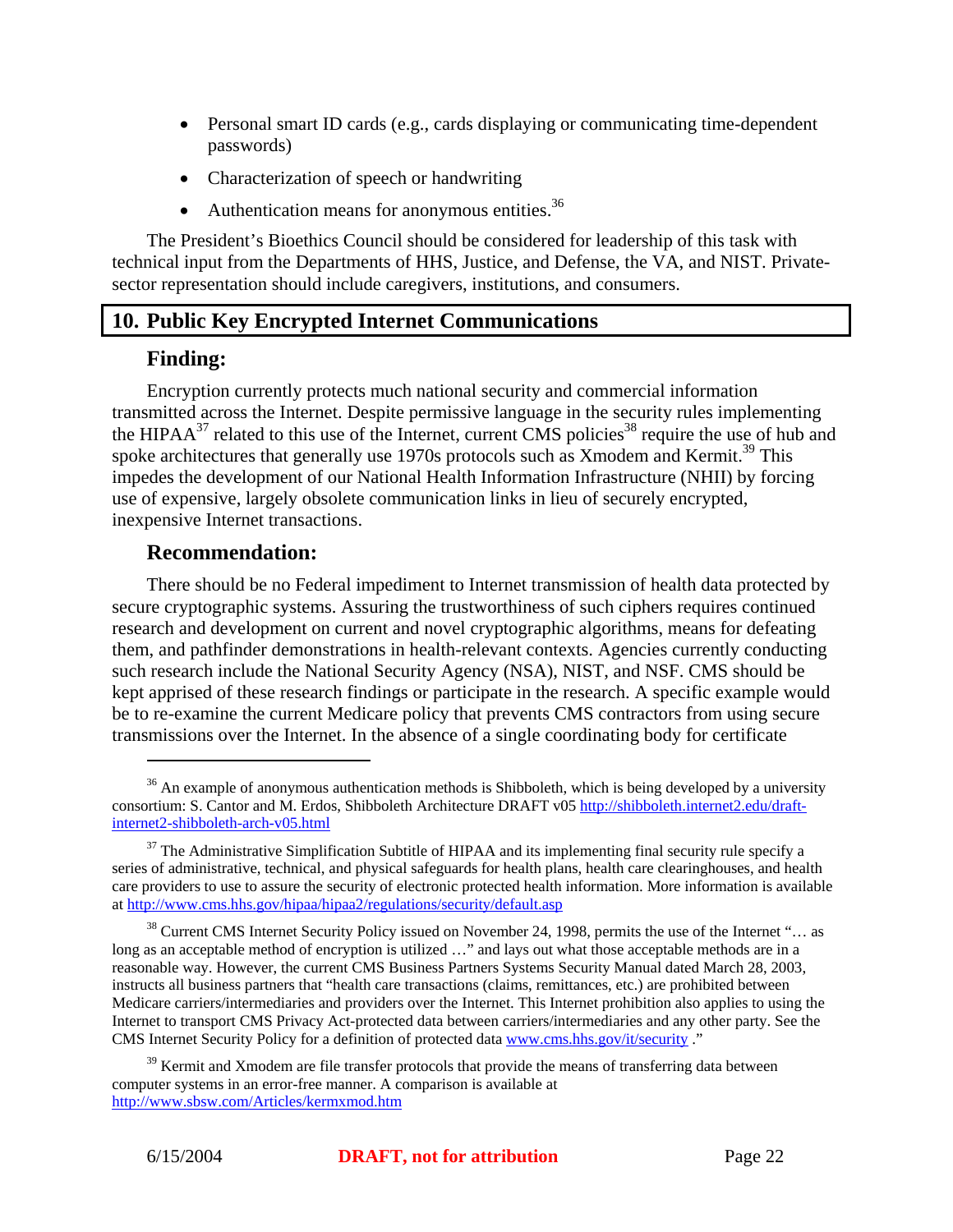- Personal smart ID cards (e.g., cards displaying or communicating time-dependent passwords)
- Characterization of speech or handwriting
- Authentication means for anonymous entities. $36$

The President's Bioethics Council should be considered for leadership of this task with technical input from the Departments of HHS, Justice, and Defense, the VA, and NIST. Privatesector representation should include caregivers, institutions, and consumers.

# **10. Public Key Encrypted Internet Communications**

#### **Finding:**

1

Encryption currently protects much national security and commercial information transmitted across the Internet. Despite permissive language in the security rules implementing the HIPA $A^{37}$  related to this use of the Internet, current CMS policies<sup>38</sup> require the use of hub and spoke architectures that generally use 1970s protocols such as Xmodem and Kermit.<sup>39</sup> This impedes the development of our National Health Information Infrastructure (NHII) by forcing use of expensive, largely obsolete communication links in lieu of securely encrypted, inexpensive Internet transactions.

#### **Recommendation:**

There should be no Federal impediment to Internet transmission of health data protected by secure cryptographic systems. Assuring the trustworthiness of such ciphers requires continued research and development on current and novel cryptographic algorithms, means for defeating them, and pathfinder demonstrations in health-relevant contexts. Agencies currently conducting such research include the National Security Agency (NSA), NIST, and NSF. CMS should be kept apprised of these research findings or participate in the research. A specific example would be to re-examine the current Medicare policy that prevents CMS contractors from using secure transmissions over the Internet. In the absence of a single coordinating body for certificate

 $36$  An example of anonymous authentication methods is Shibboleth, which is being developed by a university consortium: S. Cantor and M. Erdos, Shibboleth Architecture DRAFT v05 http://shibboleth.internet2.edu/draftinternet2-shibboleth-arch-v05.html

 $37$  The Administrative Simplification Subtitle of HIPAA and its implementing final security rule specify a series of administrative, technical, and physical safeguards for health plans, health care clearinghouses, and health care providers to use to assure the security of electronic protected health information. More information is available at http://www.cms.hhs.gov/hipaa/hipaa2/regulations/security/default.asp

 $38$  Current CMS Internet Security Policy issued on November 24, 1998, permits the use of the Internet "... as long as an acceptable method of encryption is utilized ..." and lays out what those acceptable methods are in a reasonable way. However, the current CMS Business Partners Systems Security Manual dated March 28, 2003, instructs all business partners that "health care transactions (claims, remittances, etc.) are prohibited between Medicare carriers/intermediaries and providers over the Internet. This Internet prohibition also applies to using the Internet to transport CMS Privacy Act-protected data between carriers/intermediaries and any other party. See the CMS Internet Security Policy for a definition of protected data www.cms.hhs.gov/it/security ."

 $39$  Kermit and Xmodem are file transfer protocols that provide the means of transferring data between computer systems in an error-free manner. A comparison is available at http://www.sbsw.com/Articles/kermxmod.htm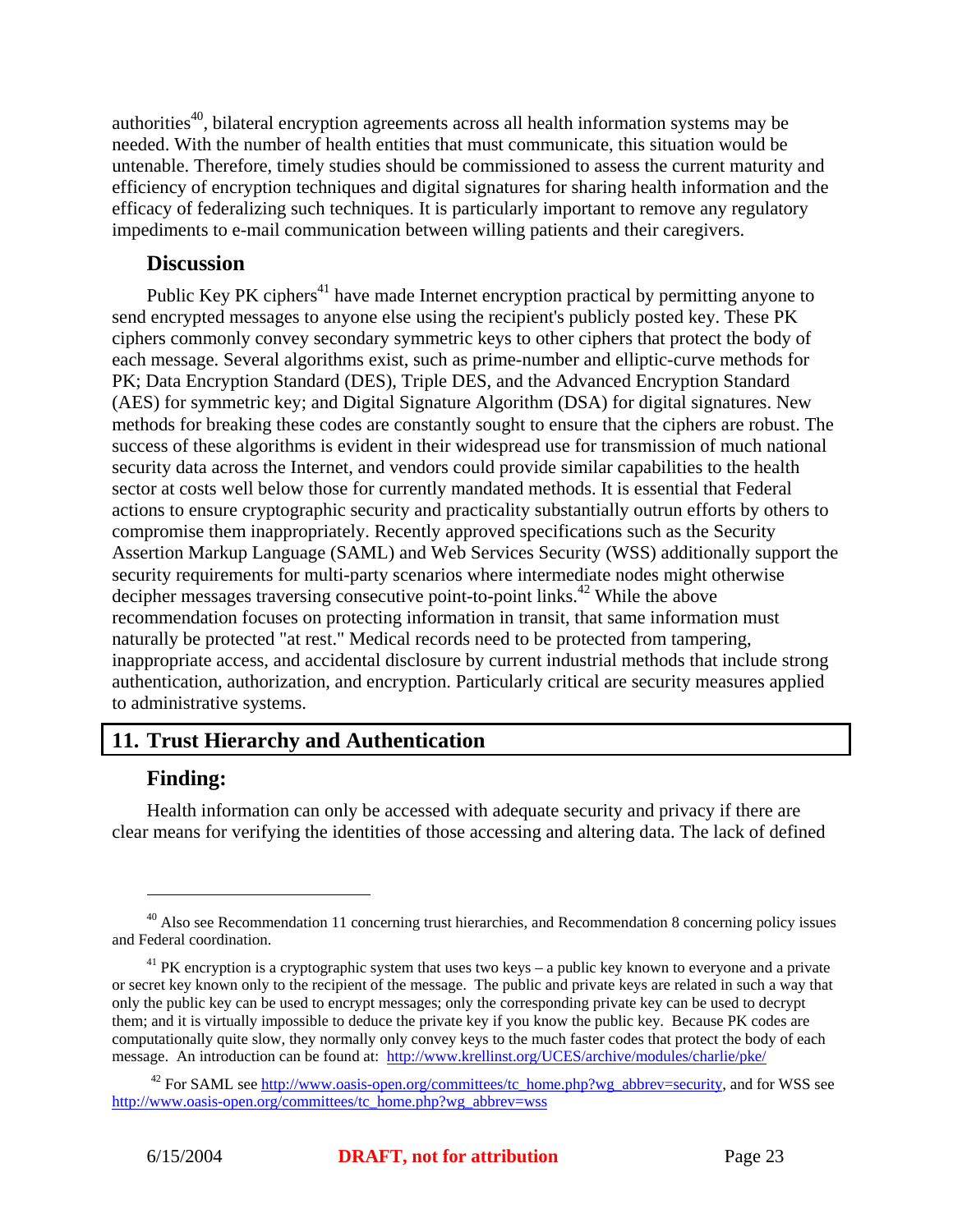authorities<sup>40</sup>, bilateral encryption agreements across all health information systems may be needed. With the number of health entities that must communicate, this situation would be untenable. Therefore, timely studies should be commissioned to assess the current maturity and efficiency of encryption techniques and digital signatures for sharing health information and the efficacy of federalizing such techniques. It is particularly important to remove any regulatory impediments to e-mail communication between willing patients and their caregivers.

#### **Discussion**

Public Key PK ciphers<sup>41</sup> have made Internet encryption practical by permitting anyone to send encrypted messages to anyone else using the recipient's publicly posted key. These PK ciphers commonly convey secondary symmetric keys to other ciphers that protect the body of each message. Several algorithms exist, such as prime-number and elliptic-curve methods for PK; Data Encryption Standard (DES), Triple DES, and the Advanced Encryption Standard (AES) for symmetric key; and Digital Signature Algorithm (DSA) for digital signatures. New methods for breaking these codes are constantly sought to ensure that the ciphers are robust. The success of these algorithms is evident in their widespread use for transmission of much national security data across the Internet, and vendors could provide similar capabilities to the health sector at costs well below those for currently mandated methods. It is essential that Federal actions to ensure cryptographic security and practicality substantially outrun efforts by others to compromise them inappropriately. Recently approved specifications such as the Security Assertion Markup Language (SAML) and Web Services Security (WSS) additionally support the security requirements for multi-party scenarios where intermediate nodes might otherwise decipher messages traversing consecutive point-to-point links.<sup>42</sup> While the above recommendation focuses on protecting information in transit, that same information must naturally be protected "at rest." Medical records need to be protected from tampering, inappropriate access, and accidental disclosure by current industrial methods that include strong authentication, authorization, and encryption. Particularly critical are security measures applied to administrative systems.

# **11. Trust Hierarchy and Authentication**

# **Finding:**

1

Health information can only be accessed with adequate security and privacy if there are clear means for verifying the identities of those accessing and altering data. The lack of defined

 $^{40}$  Also see Recommendation 11 concerning trust hierarchies, and Recommendation 8 concerning policy issues and Federal coordination.

 $41$  PK encryption is a cryptographic system that uses two keys – a public key known to everyone and a private or secret key known only to the recipient of the message. The public and private keys are related in such a way that only the public key can be used to encrypt messages; only the corresponding private key can be used to decrypt them; and it is virtually impossible to deduce the private key if you know the public key. Because PK codes are computationally quite slow, they normally only convey keys to the much faster codes that protect the body of each message. An introduction can be found at: http://www.krellinst.org/UCES/archive/modules/charlie/pke/

 $42$  For SAML see http://www.oasis-open.org/committees/tc\_home.php?wg\_abbrev=security, and for WSS see http://www.oasis-open.org/committees/tc\_home.php?wg\_abbrev=wss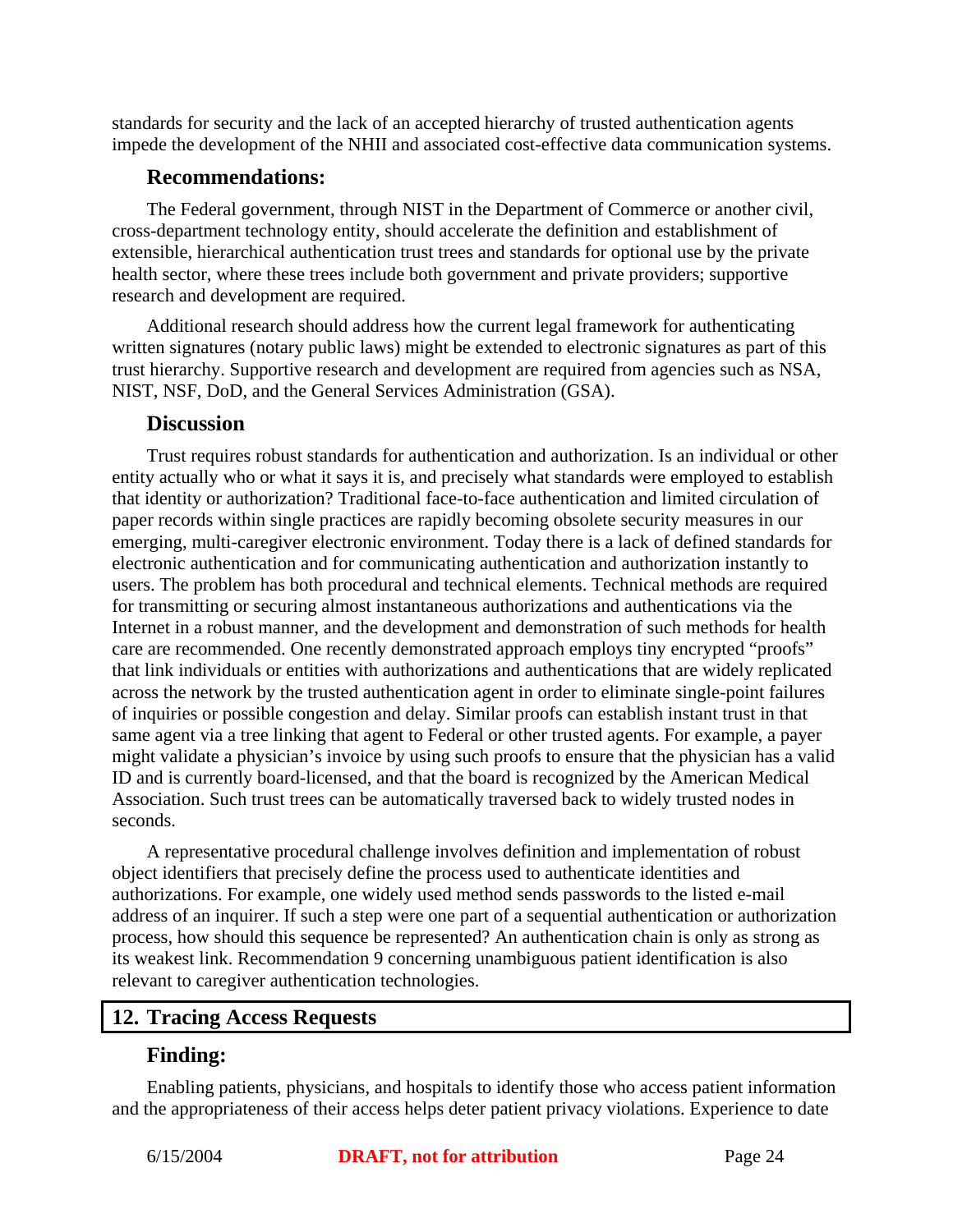standards for security and the lack of an accepted hierarchy of trusted authentication agents impede the development of the NHII and associated cost-effective data communication systems.

#### **Recommendations:**

The Federal government, through NIST in the Department of Commerce or another civil, cross-department technology entity, should accelerate the definition and establishment of extensible, hierarchical authentication trust trees and standards for optional use by the private health sector, where these trees include both government and private providers; supportive research and development are required.

Additional research should address how the current legal framework for authenticating written signatures (notary public laws) might be extended to electronic signatures as part of this trust hierarchy. Supportive research and development are required from agencies such as NSA, NIST, NSF, DoD, and the General Services Administration (GSA).

#### **Discussion**

Trust requires robust standards for authentication and authorization. Is an individual or other entity actually who or what it says it is, and precisely what standards were employed to establish that identity or authorization? Traditional face-to-face authentication and limited circulation of paper records within single practices are rapidly becoming obsolete security measures in our emerging, multi-caregiver electronic environment. Today there is a lack of defined standards for electronic authentication and for communicating authentication and authorization instantly to users. The problem has both procedural and technical elements. Technical methods are required for transmitting or securing almost instantaneous authorizations and authentications via the Internet in a robust manner, and the development and demonstration of such methods for health care are recommended. One recently demonstrated approach employs tiny encrypted "proofs" that link individuals or entities with authorizations and authentications that are widely replicated across the network by the trusted authentication agent in order to eliminate single-point failures of inquiries or possible congestion and delay. Similar proofs can establish instant trust in that same agent via a tree linking that agent to Federal or other trusted agents. For example, a payer might validate a physician's invoice by using such proofs to ensure that the physician has a valid ID and is currently board-licensed, and that the board is recognized by the American Medical Association. Such trust trees can be automatically traversed back to widely trusted nodes in seconds.

A representative procedural challenge involves definition and implementation of robust object identifiers that precisely define the process used to authenticate identities and authorizations. For example, one widely used method sends passwords to the listed e-mail address of an inquirer. If such a step were one part of a sequential authentication or authorization process, how should this sequence be represented? An authentication chain is only as strong as its weakest link. Recommendation 9 concerning unambiguous patient identification is also relevant to caregiver authentication technologies.

# **12. Tracing Access Requests**

#### **Finding:**

Enabling patients, physicians, and hospitals to identify those who access patient information and the appropriateness of their access helps deter patient privacy violations. Experience to date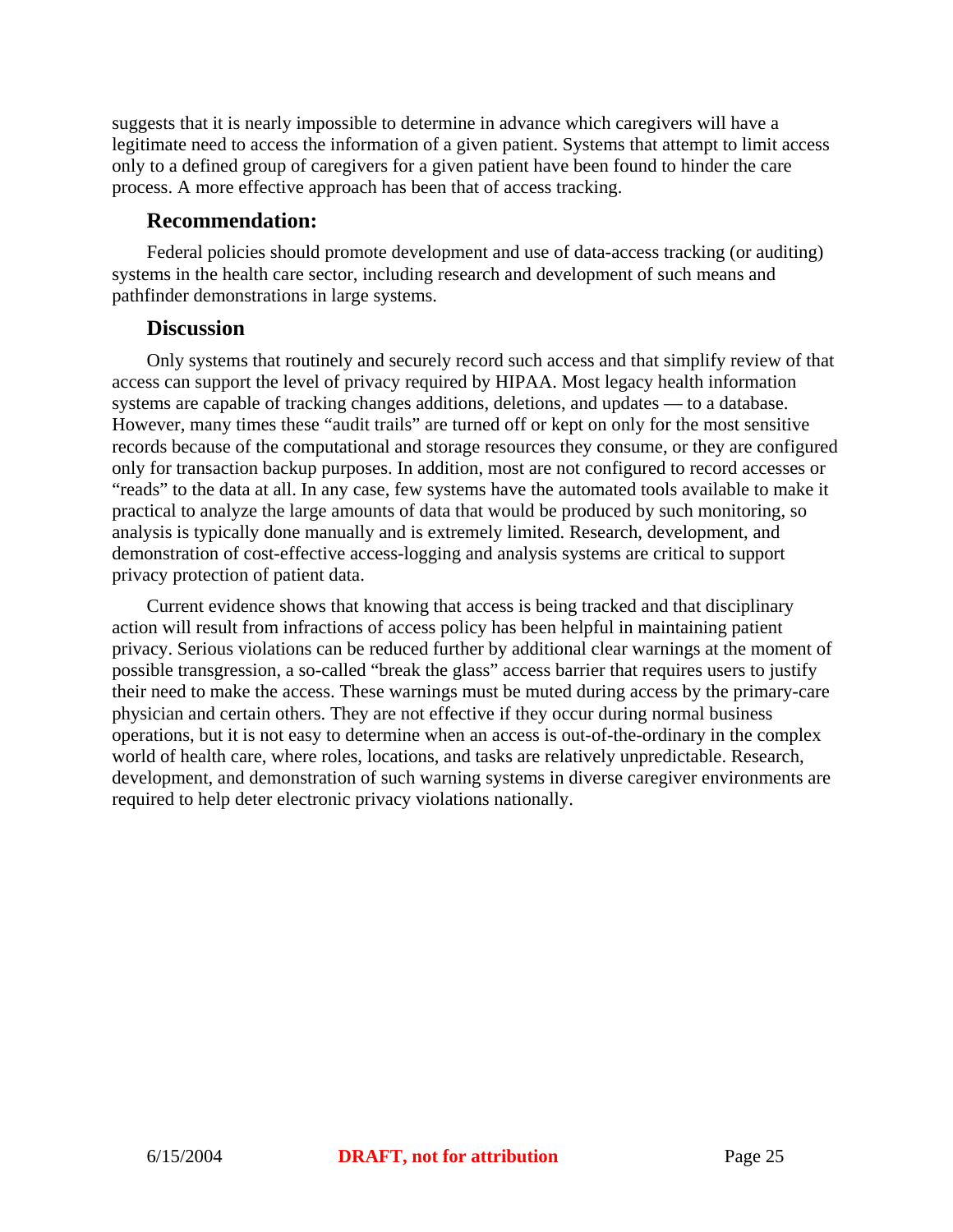suggests that it is nearly impossible to determine in advance which caregivers will have a legitimate need to access the information of a given patient. Systems that attempt to limit access only to a defined group of caregivers for a given patient have been found to hinder the care process. A more effective approach has been that of access tracking.

#### **Recommendation:**

Federal policies should promote development and use of data-access tracking (or auditing) systems in the health care sector, including research and development of such means and pathfinder demonstrations in large systems.

#### **Discussion**

Only systems that routinely and securely record such access and that simplify review of that access can support the level of privacy required by HIPAA. Most legacy health information systems are capable of tracking changes additions, deletions, and updates — to a database. However, many times these "audit trails" are turned off or kept on only for the most sensitive records because of the computational and storage resources they consume, or they are configured only for transaction backup purposes. In addition, most are not configured to record accesses or "reads" to the data at all. In any case, few systems have the automated tools available to make it practical to analyze the large amounts of data that would be produced by such monitoring, so analysis is typically done manually and is extremely limited. Research, development, and demonstration of cost-effective access-logging and analysis systems are critical to support privacy protection of patient data.

Current evidence shows that knowing that access is being tracked and that disciplinary action will result from infractions of access policy has been helpful in maintaining patient privacy. Serious violations can be reduced further by additional clear warnings at the moment of possible transgression, a so-called "break the glass" access barrier that requires users to justify their need to make the access. These warnings must be muted during access by the primary-care physician and certain others. They are not effective if they occur during normal business operations, but it is not easy to determine when an access is out-of-the-ordinary in the complex world of health care, where roles, locations, and tasks are relatively unpredictable. Research, development, and demonstration of such warning systems in diverse caregiver environments are required to help deter electronic privacy violations nationally.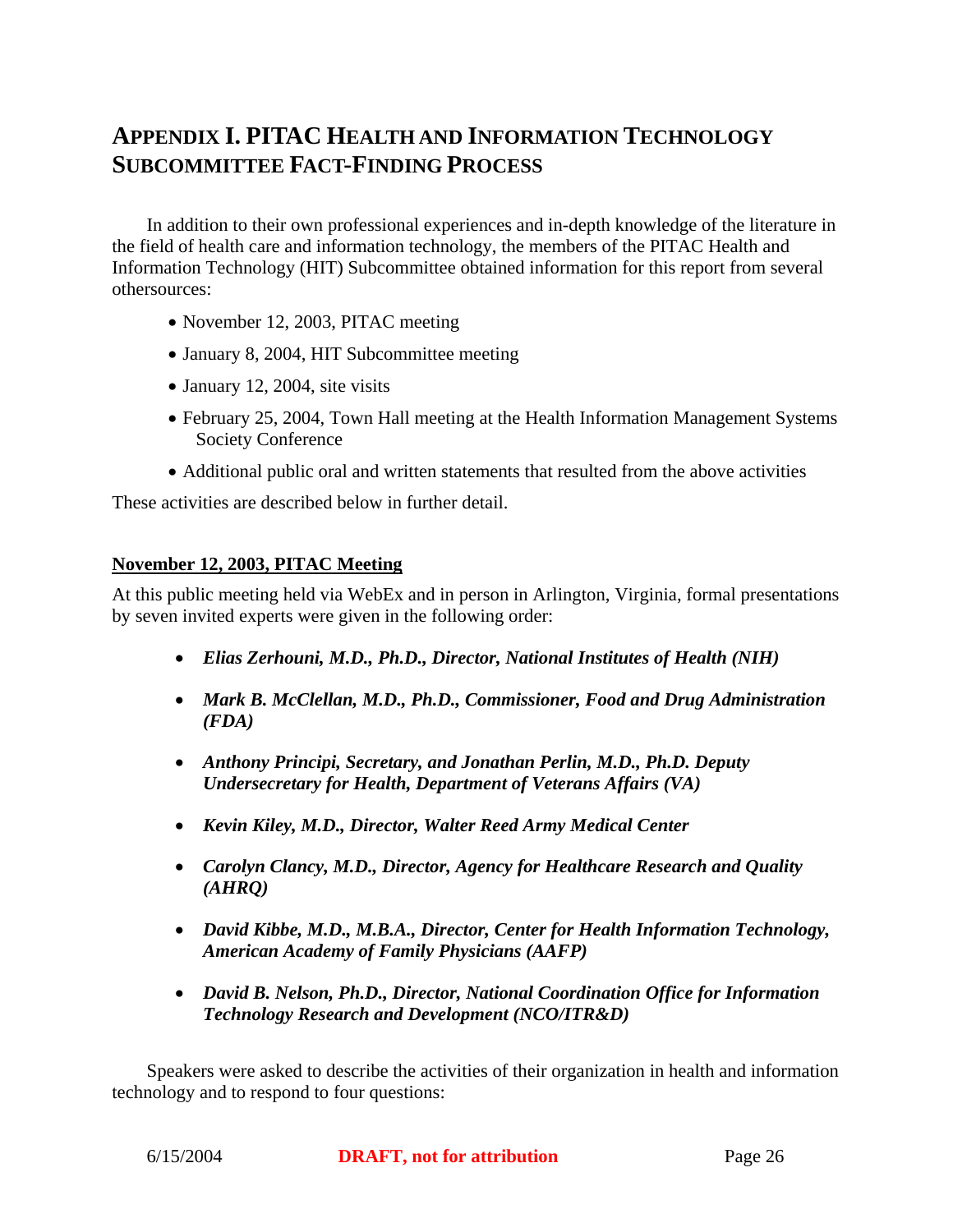# **APPENDIX I. PITAC HEALTH AND INFORMATION TECHNOLOGY SUBCOMMITTEE FACT-FINDING PROCESS**

In addition to their own professional experiences and in-depth knowledge of the literature in the field of health care and information technology, the members of the PITAC Health and Information Technology (HIT) Subcommittee obtained information for this report from several othersources:

- November 12, 2003, PITAC meeting
- January 8, 2004, HIT Subcommittee meeting
- January 12, 2004, site visits
- February 25, 2004, Town Hall meeting at the Health Information Management Systems Society Conference
- Additional public oral and written statements that resulted from the above activities

These activities are described below in further detail.

#### **November 12, 2003, PITAC Meeting**

At this public meeting held via WebEx and in person in Arlington, Virginia, formal presentations by seven invited experts were given in the following order:

- *Elias Zerhouni, M.D., Ph.D., Director, National Institutes of Health (NIH)*
- *Mark B. McClellan, M.D., Ph.D., Commissioner, Food and Drug Administration (FDA)*
- *Anthony Principi, Secretary, and Jonathan Perlin, M.D., Ph.D. Deputy Undersecretary for Health, Department of Veterans Affairs (VA)*
- *Kevin Kiley, M.D., Director, Walter Reed Army Medical Center*
- *Carolyn Clancy, M.D., Director, Agency for Healthcare Research and Quality (AHRQ)*
- *David Kibbe, M.D., M.B.A., Director, Center for Health Information Technology, American Academy of Family Physicians (AAFP)*
- *David B. Nelson, Ph.D., Director, National Coordination Office for Information Technology Research and Development (NCO/ITR&D)*

Speakers were asked to describe the activities of their organization in health and information technology and to respond to four questions: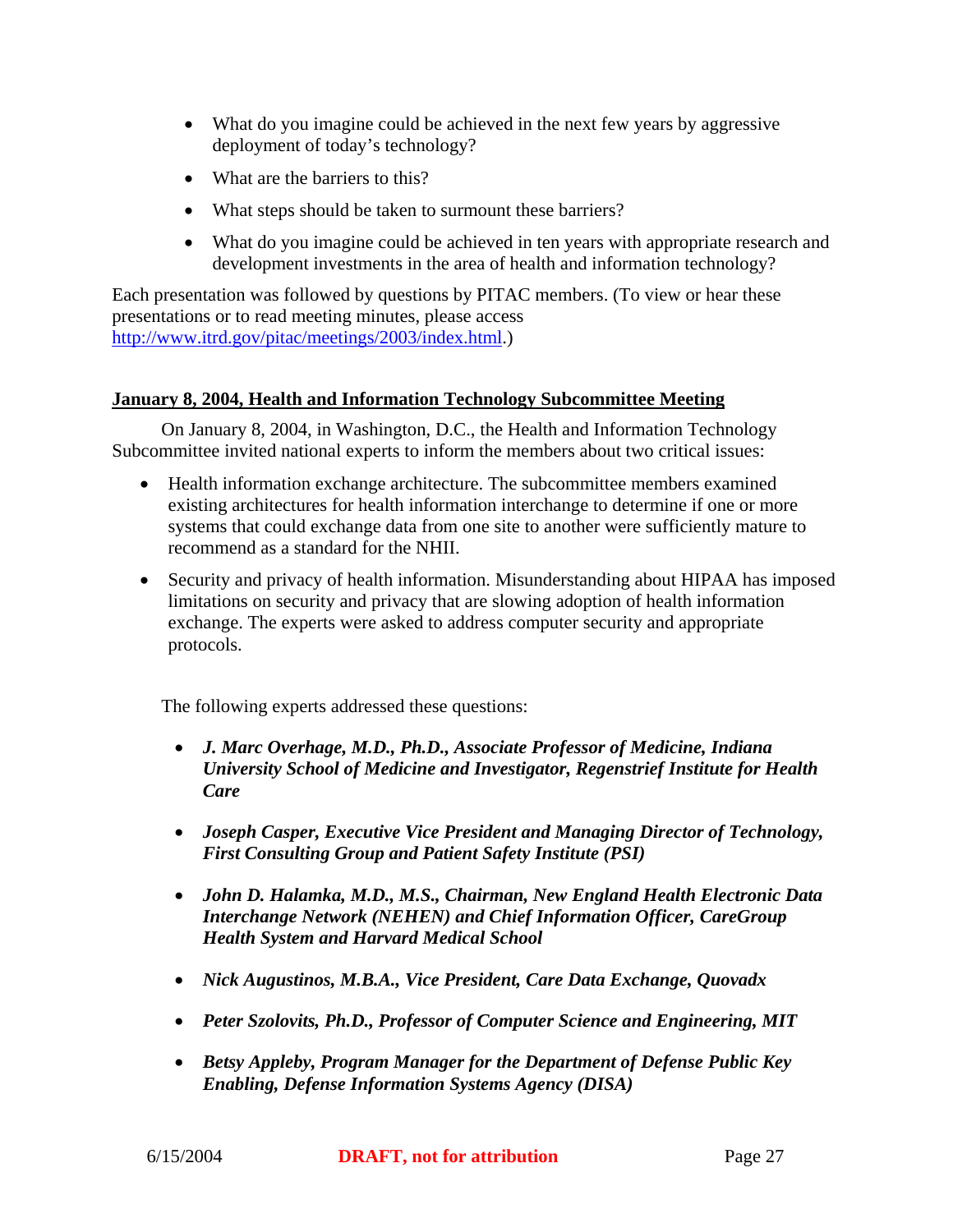- What do you imagine could be achieved in the next few years by aggressive deployment of today's technology?
- What are the barriers to this?
- What steps should be taken to surmount these barriers?
- What do you imagine could be achieved in ten years with appropriate research and development investments in the area of health and information technology?

Each presentation was followed by questions by PITAC members. (To view or hear these presentations or to read meeting minutes, please access http://www.itrd.gov/pitac/meetings/2003/index.html.)

#### **January 8, 2004, Health and Information Technology Subcommittee Meeting**

On January 8, 2004, in Washington, D.C., the Health and Information Technology Subcommittee invited national experts to inform the members about two critical issues:

- Health information exchange architecture. The subcommittee members examined existing architectures for health information interchange to determine if one or more systems that could exchange data from one site to another were sufficiently mature to recommend as a standard for the NHII.
- Security and privacy of health information. Misunderstanding about HIPAA has imposed limitations on security and privacy that are slowing adoption of health information exchange. The experts were asked to address computer security and appropriate protocols.

The following experts addressed these questions:

- *J. Marc Overhage, M.D., Ph.D., Associate Professor of Medicine, Indiana University School of Medicine and Investigator, Regenstrief Institute for Health Care*
- *Joseph Casper, Executive Vice President and Managing Director of Technology, First Consulting Group and Patient Safety Institute (PSI)*
- *John D. Halamka, M.D., M.S., Chairman, New England Health Electronic Data Interchange Network (NEHEN) and Chief Information Officer, CareGroup Health System and Harvard Medical School*
- *Nick Augustinos, M.B.A., Vice President, Care Data Exchange, Quovadx*
- *Peter Szolovits, Ph.D., Professor of Computer Science and Engineering, MIT*
- *Betsy Appleby, Program Manager for the Department of Defense Public Key Enabling, Defense Information Systems Agency (DISA)*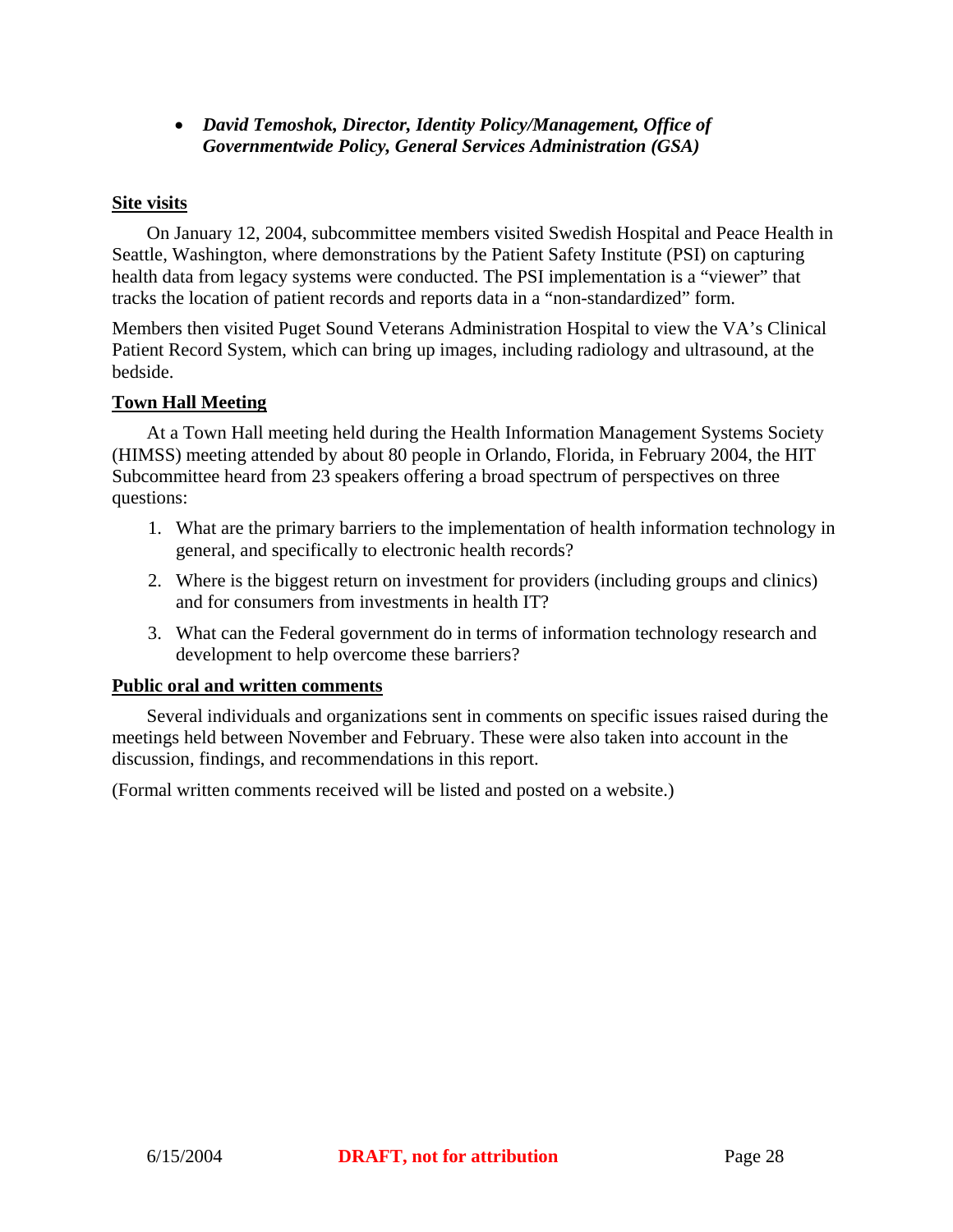• *David Temoshok, Director, Identity Policy/Management, Office of Governmentwide Policy, General Services Administration (GSA)* 

#### **Site visits**

 On January 12, 2004, subcommittee members visited Swedish Hospital and Peace Health in Seattle, Washington, where demonstrations by the Patient Safety Institute (PSI) on capturing health data from legacy systems were conducted. The PSI implementation is a "viewer" that tracks the location of patient records and reports data in a "non-standardized" form.

Members then visited Puget Sound Veterans Administration Hospital to view the VA's Clinical Patient Record System, which can bring up images, including radiology and ultrasound, at the bedside.

#### **Town Hall Meeting**

At a Town Hall meeting held during the Health Information Management Systems Society (HIMSS) meeting attended by about 80 people in Orlando, Florida, in February 2004, the HIT Subcommittee heard from 23 speakers offering a broad spectrum of perspectives on three questions:

- 1. What are the primary barriers to the implementation of health information technology in general, and specifically to electronic health records?
- 2. Where is the biggest return on investment for providers (including groups and clinics) and for consumers from investments in health IT?
- 3. What can the Federal government do in terms of information technology research and development to help overcome these barriers?

#### **Public oral and written comments**

 Several individuals and organizations sent in comments on specific issues raised during the meetings held between November and February. These were also taken into account in the discussion, findings, and recommendations in this report.

(Formal written comments received will be listed and posted on a website.)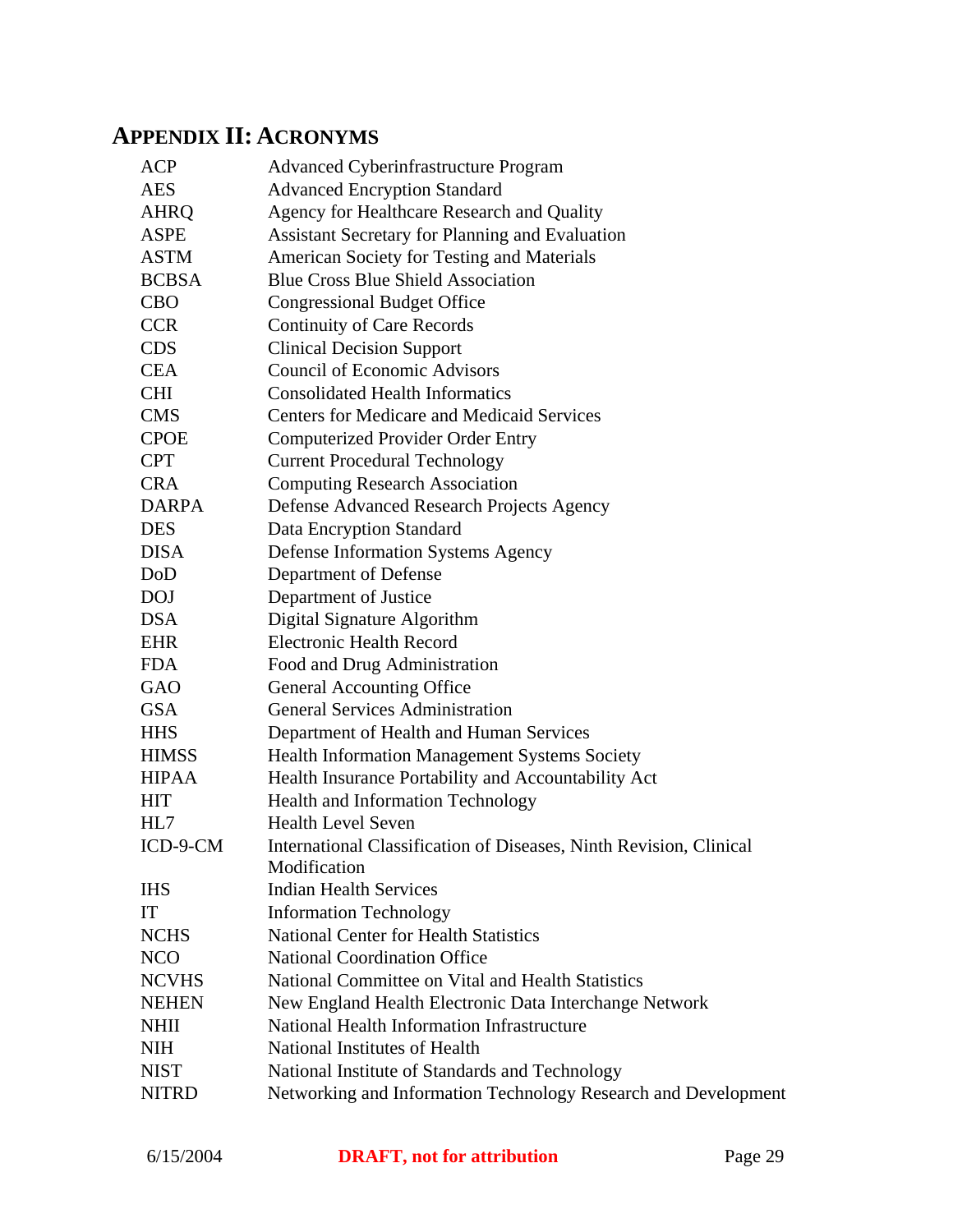# **APPENDIX II: ACRONYMS**

| <b>ACP</b>   | <b>Advanced Cyberinfrastructure Program</b>                        |
|--------------|--------------------------------------------------------------------|
| <b>AES</b>   | <b>Advanced Encryption Standard</b>                                |
| <b>AHRQ</b>  | Agency for Healthcare Research and Quality                         |
| <b>ASPE</b>  | <b>Assistant Secretary for Planning and Evaluation</b>             |
| <b>ASTM</b>  | American Society for Testing and Materials                         |
| <b>BCBSA</b> | <b>Blue Cross Blue Shield Association</b>                          |
| <b>CBO</b>   | <b>Congressional Budget Office</b>                                 |
| <b>CCR</b>   | <b>Continuity of Care Records</b>                                  |
| <b>CDS</b>   | <b>Clinical Decision Support</b>                                   |
| <b>CEA</b>   | <b>Council of Economic Advisors</b>                                |
| <b>CHI</b>   | <b>Consolidated Health Informatics</b>                             |
| <b>CMS</b>   | <b>Centers for Medicare and Medicaid Services</b>                  |
| <b>CPOE</b>  | <b>Computerized Provider Order Entry</b>                           |
| <b>CPT</b>   | <b>Current Procedural Technology</b>                               |
| <b>CRA</b>   | <b>Computing Research Association</b>                              |
| <b>DARPA</b> | Defense Advanced Research Projects Agency                          |
| <b>DES</b>   | Data Encryption Standard                                           |
| <b>DISA</b>  | <b>Defense Information Systems Agency</b>                          |
| DoD          | Department of Defense                                              |
| <b>DOJ</b>   | Department of Justice                                              |
| <b>DSA</b>   | Digital Signature Algorithm                                        |
| <b>EHR</b>   | <b>Electronic Health Record</b>                                    |
| <b>FDA</b>   | Food and Drug Administration                                       |
| GAO          | <b>General Accounting Office</b>                                   |
| <b>GSA</b>   | <b>General Services Administration</b>                             |
| <b>HHS</b>   | Department of Health and Human Services                            |
| <b>HIMSS</b> | Health Information Management Systems Society                      |
| <b>HIPAA</b> | Health Insurance Portability and Accountability Act                |
| <b>HIT</b>   | <b>Health and Information Technology</b>                           |
| HL7          | <b>Health Level Seven</b>                                          |
| ICD-9-CM     | International Classification of Diseases, Ninth Revision, Clinical |
|              | Modification                                                       |
| <b>IHS</b>   | <b>Indian Health Services</b>                                      |
| IT           | <b>Information Technology</b>                                      |
| <b>NCHS</b>  | <b>National Center for Health Statistics</b>                       |
| <b>NCO</b>   | <b>National Coordination Office</b>                                |
| <b>NCVHS</b> | National Committee on Vital and Health Statistics                  |
| <b>NEHEN</b> | New England Health Electronic Data Interchange Network             |
| <b>NHII</b>  | National Health Information Infrastructure                         |
| <b>NIH</b>   | National Institutes of Health                                      |
| <b>NIST</b>  | National Institute of Standards and Technology                     |
| <b>NITRD</b> | Networking and Information Technology Research and Development     |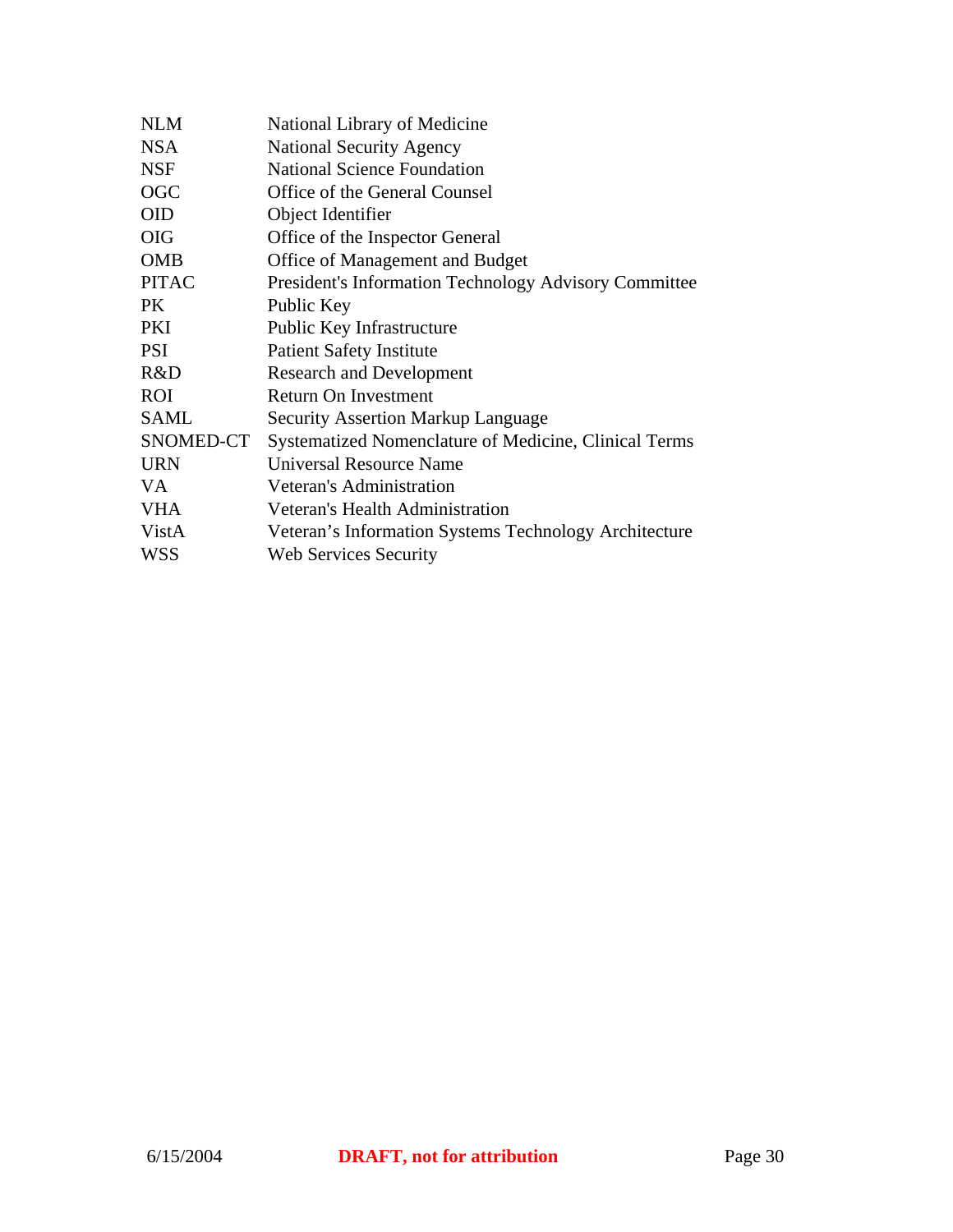| National Library of Medicine                                 |
|--------------------------------------------------------------|
| <b>National Security Agency</b>                              |
| <b>National Science Foundation</b>                           |
| Office of the General Counsel                                |
| Object Identifier                                            |
| Office of the Inspector General                              |
| Office of Management and Budget                              |
| <b>President's Information Technology Advisory Committee</b> |
| Public Key                                                   |
| Public Key Infrastructure                                    |
| <b>Patient Safety Institute</b>                              |
| <b>Research and Development</b>                              |
| <b>Return On Investment</b>                                  |
| <b>Security Assertion Markup Language</b>                    |
| Systematized Nomenclature of Medicine, Clinical Terms        |
| Universal Resource Name                                      |
| Veteran's Administration                                     |
| Veteran's Health Administration                              |
| Veteran's Information Systems Technology Architecture        |
| Web Services Security                                        |
|                                                              |